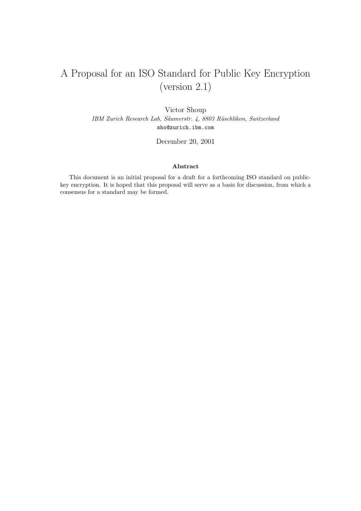# A Proposal for an ISO Standard for Public Key Encryption (version 2.1)

Victor Shoup IBM Zurich Research Lab, Säumerstr. 4, 8803 Rüschlikon, Switzerland sho@zurich.ibm.com

December 20, 2001

#### Abstract

This document is an initial proposal for a draft for a forthcoming ISO standard on publickey encryption. It is hoped that this proposal will serve as a basis for discussion, from which a consensus for a standard may be formed.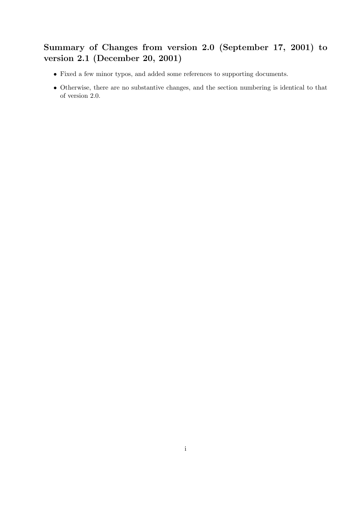# Summary of Changes from version 2.0 (September 17, 2001) to version 2.1 (December 20, 2001)

- Fixed a few minor typos, and added some references to supporting documents.
- Otherwise, there are no substantive changes, and the section numbering is identical to that of version 2.0.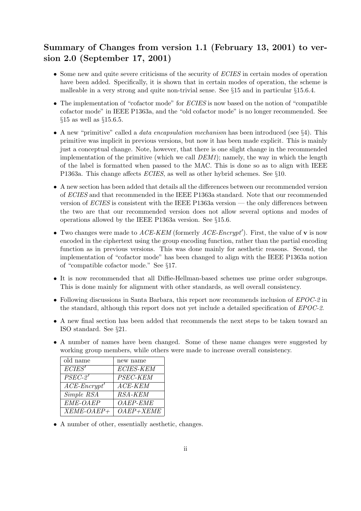## Summary of Changes from version 1.1 (February 13, 2001) to version 2.0 (September 17, 2001)

- Some new and quite severe criticisms of the security of ECIES in certain modes of operation have been added. Specifically, it is shown that in certain modes of operation, the scheme is malleable in a very strong and quite non-trivial sense. See §15 and in particular §15.6.4.
- The implementation of "cofactor mode" for *ECIES* is now based on the notion of "compatible" cofactor mode" in IEEE P1363a, and the "old cofactor mode" is no longer recommended. See §15 as well as §15.6.5.
- A new "primitive" called a *data encapsulation mechanism* has been introduced (see  $\S 4$ ). This primitive was implicit in previous versions, but now it has been made explicit. This is mainly just a conceptual change. Note, however, that there is one slight change in the recommended implementation of the primitive (which we call  $DEM1$ ); namely, the way in which the length of the label is formatted when passed to the MAC. This is done so as to align with IEEE P1363a. This change affects ECIES, as well as other hybrid schemes. See §10.
- A new section has been added that details all the differences between our recommended version of ECIES and that recommended in the IEEE P1363a standard. Note that our recommended version of ECIES is consistent with the IEEE P1363a version — the only differences between the two are that our recommended version does not allow several options and modes of operations allowed by the IEEE P1363a version. See §15.6.
- Two changes were made to  $ACE\text{-}KEM$  (formerly  $ACE\text{-}Energy'$ ). First, the value of **v** is now encoded in the ciphertext using the group encoding function, rather than the partial encoding function as in previous versions. This was done mainly for aesthetic reasons. Second, the implementation of "cofactor mode" has been changed to align with the IEEE P1363a notion of "compatible cofactor mode." See §17.
- It is now recommended that all Diffie-Hellman-based schemes use prime order subgroups. This is done mainly for alignment with other standards, as well overall consistency.
- Following discussions in Santa Barbara, this report now recommends inclusion of  $EPOC-2$  in the standard, although this report does not yet include a detailed specification of EPOC-2.
- A new final section has been added that recommends the next steps to be taken toward an ISO standard. See §21.
- A number of names have been changed. Some of these name changes were suggested by working group members, while others were made to increase overall consistency.

| old name              | new name        |
|-----------------------|-----------------|
| ECIES'                | ECIES-KEM       |
| $PSEC-2'$             | PSEC-KEM        |
| $ACE\text{-}Encrypt'$ | $ACE$ -KEM      |
| Simple RSA            | RSA-KEM         |
| EME-OAEP              | <i>OAEP-EME</i> |
| $XEME-OAEP+$          | $OAEP+XEME$     |

• A number of other, essentially aesthetic, changes.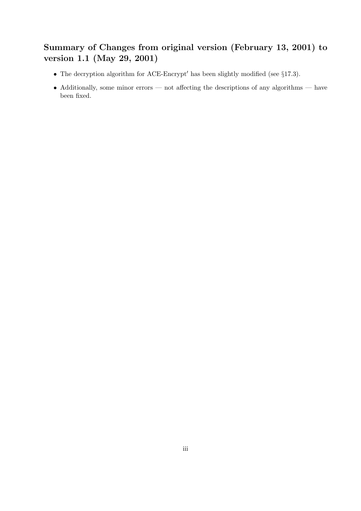# Summary of Changes from original version (February 13, 2001) to version 1.1 (May 29, 2001)

- The decryption algorithm for ACE-Encrypt' has been slightly modified (see  $\S 17.3$ ).
- Additionally, some minor errors not affecting the descriptions of any algorithms have been fixed.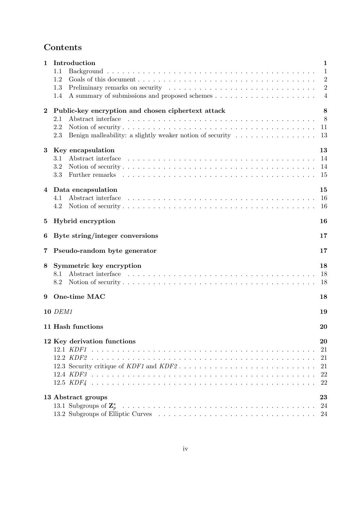## Contents

| $\mathbf{1}$ | Introduction<br>1.1<br>1.2<br>1.3<br>Preliminary remarks on security (and all contained a security of the second security of the second second second second second second second second second second second second second second second second second second seco | $\mathbf 1$<br>$\mathbf{1}$<br>$\overline{2}$<br>$\overline{2}$ |
|--------------|---------------------------------------------------------------------------------------------------------------------------------------------------------------------------------------------------------------------------------------------------------------------|-----------------------------------------------------------------|
|              | 1.4                                                                                                                                                                                                                                                                 | $\overline{4}$                                                  |
| $\bf{2}$     | Public-key encryption and chosen ciphertext attack                                                                                                                                                                                                                  | 8                                                               |
|              | 2.1<br>2.2                                                                                                                                                                                                                                                          | 8<br>11                                                         |
|              | Benign malleability: a slightly weaker notion of security $\dots \dots \dots \dots \dots$<br>2.3                                                                                                                                                                    | 13                                                              |
| 3            | Key encapsulation                                                                                                                                                                                                                                                   | 13                                                              |
|              | Abstract interface<br>3.1                                                                                                                                                                                                                                           | 14                                                              |
|              | 3.2                                                                                                                                                                                                                                                                 | 14                                                              |
|              | 3.3                                                                                                                                                                                                                                                                 | 15                                                              |
| 4            | Data encapsulation                                                                                                                                                                                                                                                  | 15                                                              |
|              | 4.1<br>4.2                                                                                                                                                                                                                                                          | 16<br>16                                                        |
|              |                                                                                                                                                                                                                                                                     |                                                                 |
| 5            | Hybrid encryption                                                                                                                                                                                                                                                   | 16                                                              |
| 6            | Byte string/integer conversions                                                                                                                                                                                                                                     | $17\,$                                                          |
| 7            | Pseudo-random byte generator                                                                                                                                                                                                                                        | $17\,$                                                          |
| 8            | Symmetric key encryption                                                                                                                                                                                                                                            | 18                                                              |
|              | Abstract interface<br>8.1                                                                                                                                                                                                                                           | 18                                                              |
|              | 8.2                                                                                                                                                                                                                                                                 | 18                                                              |
| 9            | One-time MAC                                                                                                                                                                                                                                                        | 18                                                              |
|              | <b>10 DEM1</b>                                                                                                                                                                                                                                                      | 19                                                              |
|              | 11 Hash functions                                                                                                                                                                                                                                                   | 20                                                              |
|              | 12 Key derivation functions                                                                                                                                                                                                                                         | 20                                                              |
|              | 12.1 KDF1                                                                                                                                                                                                                                                           | 21                                                              |
|              |                                                                                                                                                                                                                                                                     | 21                                                              |
|              | 12.3 Security critique of KDF1 and KDF2                                                                                                                                                                                                                             | 21                                                              |
|              |                                                                                                                                                                                                                                                                     | 22                                                              |
|              |                                                                                                                                                                                                                                                                     | 22                                                              |
|              | 13 Abstract groups                                                                                                                                                                                                                                                  | 23                                                              |
|              |                                                                                                                                                                                                                                                                     | 24                                                              |
|              |                                                                                                                                                                                                                                                                     | 24                                                              |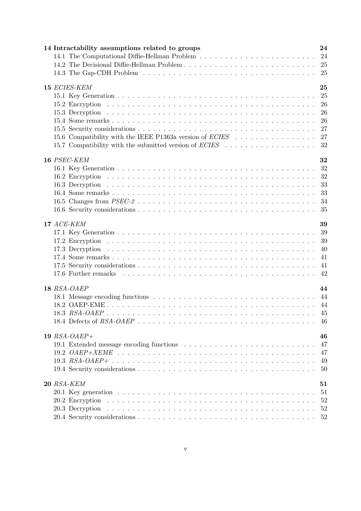| 24<br>14 Intractability assumptions related to groups                 |  |
|-----------------------------------------------------------------------|--|
|                                                                       |  |
|                                                                       |  |
|                                                                       |  |
|                                                                       |  |
| 15 ECIES-KEM<br>25                                                    |  |
| 25                                                                    |  |
|                                                                       |  |
| 26                                                                    |  |
|                                                                       |  |
| 26                                                                    |  |
| 27                                                                    |  |
| 27<br>15.6 Compatibility with the IEEE P1363a version of <i>ECIES</i> |  |
| 32<br>15.7 Compatibility with the submitted version of ECIES          |  |
|                                                                       |  |
| 16 PSEC-KEM<br>32                                                     |  |
| 32                                                                    |  |
|                                                                       |  |
| 33                                                                    |  |
| 33                                                                    |  |
|                                                                       |  |
| 34                                                                    |  |
| 35                                                                    |  |
|                                                                       |  |
| 39<br>17 ACE-KEM                                                      |  |
| 39                                                                    |  |
| 39                                                                    |  |
| 40                                                                    |  |
| 41                                                                    |  |
|                                                                       |  |
| 42                                                                    |  |
|                                                                       |  |
| <b>18 RSA-OAEP</b><br>44                                              |  |
|                                                                       |  |
|                                                                       |  |
|                                                                       |  |
|                                                                       |  |
|                                                                       |  |
|                                                                       |  |
| 19 $RSA-OAEP+$<br>46                                                  |  |
| 47                                                                    |  |
| 47                                                                    |  |
| 49                                                                    |  |
| 50                                                                    |  |
|                                                                       |  |
| 20 RSA-KEM<br>51                                                      |  |
| 51                                                                    |  |
|                                                                       |  |
| 52                                                                    |  |
| 52                                                                    |  |
|                                                                       |  |
|                                                                       |  |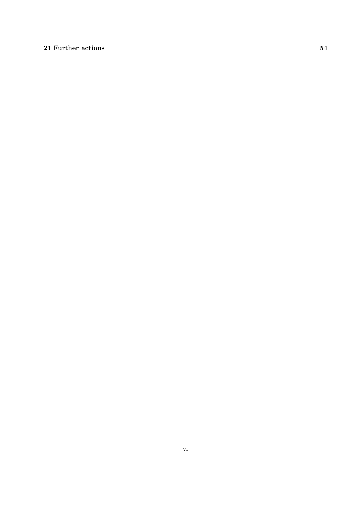## 21 Further actions 54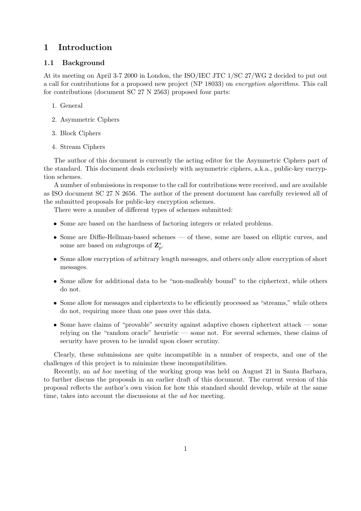## 1 Introduction

#### 1.1 Background

At its meeting on April 3-7 2000 in London, the ISO/IEC JTC 1/SC 27/WG 2 decided to put out a call for contributions for a proposed new project (NP 18033) on encryption algorithms. This call for contributions (document SC 27 N 2563) proposed four parts:

- 1. General
- 2. Asymmetric Ciphers
- 3. Block Ciphers
- 4. Stream Ciphers

The author of this document is currently the acting editor for the Asymmetric Ciphers part of the standard. This document deals exclusively with asymmetric ciphers, a.k.a., public-key encryption schemes.

A number of submissions in response to the call for contributions were received, and are available as ISO document SC 27 N 2656. The author of the present document has carefully reviewed all of the submitted proposals for public-key encryption schemes.

There were a number of different types of schemes submitted:

- Some are based on the hardness of factoring integers or related problems.
- Some are Diffie-Hellman-based schemes of these, some are based on elliptic curves, and some are based on subgroups of  $\mathbf{Z}_n^*$  $_{p}^{*}.$
- Some allow encryption of arbitrary length messages, and others only allow encryption of short messages.
- Some allow for additional data to be "non-malleably bound" to the ciphertext, while others do not.
- Some allow for messages and ciphertexts to be efficiently processed as "streams," while others do not, requiring more than one pass over this data.
- Some have claims of "provable" security against adaptive chosen ciphertext attack some relying on the "random oracle" heuristic — some not. For several schemes, these claims of security have proven to be invalid upon closer scrutiny.

Clearly, these submissions are quite incompatible in a number of respects, and one of the challenges of this project is to minimize these incompatibilities.

Recently, an ad hoc meeting of the working group was held on August 21 in Santa Barbara, to further discuss the proposals in an earlier draft of this document. The current version of this proposal reflects the author's own vision for how this standard should develop, while at the same time, takes into account the discussions at the *ad hoc* meeting.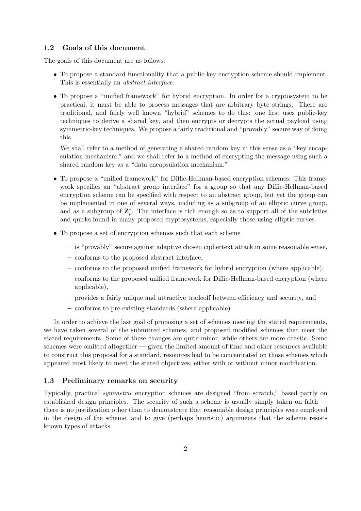## 1.2 Goals of this document

The goals of this document are as follows:

- To propose a standard functionality that a public-key encryption scheme should implement. This is essentially an abstract interface.
- To propose a "unified framework" for hybrid encryption. In order for a cryptosystem to be practical, it must be able to process messages that are arbitrary byte strings. There are traditional, and fairly well known "hybrid" schemes to do this: one first uses public-key techniques to derive a shared key, and then encrypts or decrypts the actual payload using symmetric-key techniques. We propose a fairly traditional and "provably" secure way of doing this.

We shall refer to a method of generating a shared random key in this sense as a "key encapsulation mechanism," and we shall refer to a method of encrypting the message using such a shared random key as a "data encapsulation mechanism."

- To propose a "unified framework" for Diffie-Hellman-based encryption schemes. This framework specifies an "abstract group interface" for a group so that any Diffie-Hellman-based encryption scheme can be specified with respect to an abstract group, but yet the group can be implemented in one of several ways, including as a subgroup of an elliptic curve group, and as a subgroup of  $\mathbf{Z}_n^*$  $_{p}^{*}$ . The interface is rich enough so as to support all of the subtleties and quirks found in many proposed cryptosystems, especially those using elliptic curves.
- To propose a set of encryption schemes such that each scheme
	- is "provably" secure against adaptive chosen ciphertext attack in some reasonable sense,
	- conforms to the proposed abstract interface,
	- conforms to the proposed unified framework for hybrid encryption (where applicable),
	- conforms to the proposed unified framework for Diffie-Hellman-based encryption (where applicable),
	- provides a fairly unique and attractive tradeoff between efficiency and security, and
	- conforms to pre-existing standards (where applicable).

In order to achieve the last goal of proposing a set of schemes meeting the stated requirements, we have taken several of the submitted schemes, and proposed modified schemes that meet the stated requirements. Some of these changes are quite minor, while others are more drastic. Some schemes were omitted altogether — given the limited amount of time and other resources available to construct this proposal for a standard, resources had to be concentrated on those schemes which appeared most likely to meet the stated objectives, either with or without minor modification.

#### 1.3 Preliminary remarks on security

Typically, practical symmetric encryption schemes are designed "from scratch," based partly on established design principles. The security of such a scheme is usually simply taken on faith there is no justification other than to demonstrate that reasonable design principles were employed in the design of the scheme, and to give (perhaps heuristic) arguments that the scheme resists known types of attacks.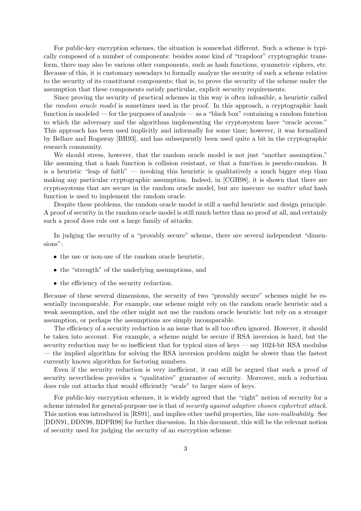For public-key encryption schemes, the situation is somewhat different. Such a scheme is typically composed of a number of components: besides some kind of "trapdoor" cryptographic transform, there may also be various other components, such as hash functions, symmetric ciphers, etc. Because of this, it is customary nowadays to formally analyze the security of such a scheme relative to the security of its constituent components; that is, to prove the security of the scheme under the assumption that these components satisfy particular, explicit security requirements.

Since proving the security of practical schemes in this way is often infeasible, a heuristic called the *random oracle model* is sometimes used in the proof. In this approach, a cryptographic hash function is modeled — for the purposes of analysis — as a "black box" containing a random function to which the adversary and the algorithms implementing the cryptosystem have "oracle access." This approach has been used implicitly and informally for some time; however, it was formalized by Bellare and Rogaway [BR93], and has subsequently been used quite a bit in the cryptographic research community.

We should stress, however, that the random oracle model is not just "another assumption," like assuming that a hash function is collision resistant, or that a function is pseudo-random. It is a heuristic "leap of faith" — invoking this heuristic is qualitatively a much bigger step than making any particular cryptographic assumption. Indeed, in [CGH98], it is shown that there are cryptosystems that are secure in the random oracle model, but are insecure no matter what hash function is used to implement the random oracle.

Despite these problems, the random oracle model is still a useful heuristic and design principle. A proof of security in the random oracle model is still much better than no proof at all, and certainly such a proof does rule out a large family of attacks.

In judging the security of a "provably secure" scheme, there are several independent "dimensions":

- the use or non-use of the random oracle heuristic.
- the "strength" of the underlying assumptions, and
- the efficiency of the security reduction.

Because of these several dimensions, the security of two "provably secure" schemes might be essentially incomparable. For example, one scheme might rely on the random oracle heuristic and a weak assumption, and the other might not use the random oracle heuristic but rely on a stronger assumption, or perhaps the assumptions are simply incomparable.

The efficiency of a security reduction is an issue that is all too often ignored. However, it should be taken into account. For example, a scheme might be secure if RSA inversion is hard, but the security reduction may be so inefficient that for typical sizes of keys  $-$  say 1024-bit RSA modulus — the implied algorithm for solving the RSA inversion problem might be slower than the fastest currently known algorithm for factoring numbers.

Even if the security reduction is very inefficient, it can still be argued that such a proof of security nevertheless provides a "qualitative" guarantee of security. Moreover, such a reduction does rule out attacks that would efficiently "scale" to larger sizes of keys.

For public-key encryption schemes, it is widely agreed that the "right" notion of security for a scheme intended for general-purpose use is that of *security against adaptive chosen ciphertext attack*. This notion was introduced in [RS91], and implies other useful properties, like non-malleability. See [DDN91, DDN98, BDPR98] for further discussion. In this document, this will be the relevant notion of security used for judging the security of an encryption scheme.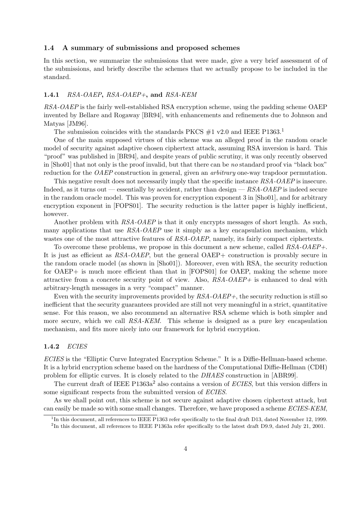#### 1.4 A summary of submissions and proposed schemes

In this section, we summarize the submissions that were made, give a very brief assessment of of the submissions, and briefly describe the schemes that we actually propose to be included in the standard.

#### 1.4.1 RSA-OAEP, RSA-OAEP+, and RSA-KEM

RSA-OAEP is the fairly well-established RSA encryption scheme, using the padding scheme OAEP invented by Bellare and Rogaway [BR94], with enhancements and refinements due to Johnson and Matyas [JM96].

The submission coincides with the standards PKCS  $\#1$  v2.0 and IEEE P1363.<sup>1</sup>

One of the main supposed virtues of this scheme was an alleged proof in the random oracle model of security against adaptive chosen ciphertext attack, assuming RSA inversion is hard. This "proof" was published in [BR94], and despite years of public scrutiny, it was only recently observed in [Sho01] that not only is the proof invalid, but that there can be no standard proof via "black box" reduction for the *OAEP* construction in general, given an *arbitrary* one-way trapdoor permutation.

This negative result does not necessarily imply that the specific instance RSA-OAEP is insecure. Indeed, as it turns out — essentially by accident, rather than design —  $RSA-OAEP$  is indeed secure in the random oracle model. This was proven for encryption exponent 3 in [Sho01], and for arbitrary encryption exponent in [FOPS01]. The security reduction is the latter paper is highly inefficient, however.

Another problem with RSA-OAEP is that it only encrypts messages of short length. As such, many applications that use  $RSA-OAEP$  use it simply as a key encapsulation mechanism, which wastes one of the most attractive features of RSA-OAEP, namely, its fairly compact ciphertexts.

To overcome these problems, we propose in this document a new scheme, called  $RSA-OAEP+\Delta$ . It is just as efficient as RSA-OAEP, but the general OAEP+ construction is provably secure in the random oracle model (as shown in [Sho01]). Moreover, even with RSA, the security reduction for OAEP+ is much more efficient than that in [FOPS01] for OAEP, making the scheme more attractive from a concrete security point of view. Also,  $RSA-OAEP+\text{ is enhanced to deal with}$ arbitrary-length messages in a very "compact" manner.

Even with the security improvements provided by  $RSA-OAEP+\alpha$ , the security reduction is still so inefficient that the security guarantees provided are still not very meaningful in a strict, quantitative sense. For this reason, we also recommend an alternative RSA scheme which is both simpler and more secure, which we call RSA-KEM. This scheme is designed as a pure key encapsulation mechanism, and fits more nicely into our framework for hybrid encryption.

#### 1.4.2 *ECIES*

ECIES is the "Elliptic Curve Integrated Encryption Scheme." It is a Diffie-Hellman-based scheme. It is a hybrid encryption scheme based on the hardness of the Computational Diffie-Hellman (CDH) problem for elliptic curves. It is closely related to the DHAES construction in [ABR99].

The current draft of IEEE P1363a<sup>2</sup> also contains a version of *ECIES*, but this version differs in some significant respects from the submitted version of ECIES.

As we shall point out, this scheme is not secure against adaptive chosen ciphertext attack, but can easily be made so with some small changes. Therefore, we have proposed a scheme ECIES-KEM,

<sup>&</sup>lt;sup>1</sup>In this document, all references to IEEE P1363 refer specifically to the final draft D13, dated November 12, 1999. <sup>2</sup>In this document, all references to IEEE P1363a refer specifically to the latest draft D9.9, dated July 21, 2001.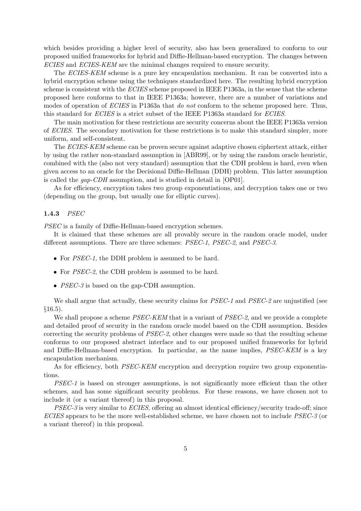which besides providing a higher level of security, also has been generalized to conform to our proposed unified frameworks for hybrid and Diffie-Hellman-based encryption. The changes between ECIES and ECIES-KEM are the minimal changes required to ensure security.

The ECIES-KEM scheme is a pure key encapsulation mechanism. It can be converted into a hybrid encryption scheme using the techniques standardized here. The resulting hybrid encryption scheme is consistent with the ECIES scheme proposed in IEEE P1363a, in the sense that the scheme proposed here conforms to that in IEEE P1363a; however, there are a number of variations and modes of operation of ECIES in P1363a that do not conform to the scheme proposed here. Thus, this standard for ECIES is a strict subset of the IEEE P1363a standard for ECIES.

The main motivation for these restrictions are security concerns about the IEEE P1363a version of ECIES. The secondary motivation for these restrictions is to make this standard simpler, more uniform, and self-consistent.

The ECIES-KEM scheme can be proven secure against adaptive chosen ciphertext attack, either by using the rather non-standard assumption in [ABR99], or by using the random oracle heuristic, combined with the (also not very standard) assumption that the CDH problem is hard, even when given access to an oracle for the Decisional Diffie-Hellman (DDH) problem. This latter assumption is called the gap-CDH assumption, and is studied in detail in [OP01].

As for efficiency, encryption takes two group exponentiations, and decryption takes one or two (depending on the group, but usually one for elliptic curves).

#### 1.4.3 PSEC

PSEC is a family of Diffie-Hellman-based encryption schemes.

It is claimed that these schemes are all provably secure in the random oracle model, under different assumptions. There are three schemes: *PSEC-1*, *PSEC-2*, and *PSEC-3*.

- For *PSEC-1*, the DDH problem is assumed to be hard.
- For *PSEC-2*, the CDH problem is assumed to be hard.
- *PSEC-3* is based on the gap-CDH assumption.

We shall argue that actually, these security claims for *PSEC-1* and *PSEC-2* are unjustified (see §16.5).

We shall propose a scheme PSEC-KEM that is a variant of PSEC-2, and we provide a complete and detailed proof of security in the random oracle model based on the CDH assumption. Besides correcting the security problems of PSEC-2, other changes were made so that the resulting scheme conforms to our proposed abstract interface and to our proposed unified frameworks for hybrid and Diffie-Hellman-based encryption. In particular, as the name implies, PSEC-KEM is a key encapsulation mechanism.

As for efficiency, both *PSEC-KEM* encryption and decryption require two group exponentiations.

PSEC-1 is based on stronger assumptions, is not significantly more efficient than the other schemes, and has some significant security problems. For these reasons, we have chosen not to include it (or a variant thereof) in this proposal.

PSEC-3 is very similar to ECIES, offering an almost identical efficiency/security trade-off; since ECIES appears to be the more well-established scheme, we have chosen not to include PSEC-3 (or a variant thereof) in this proposal.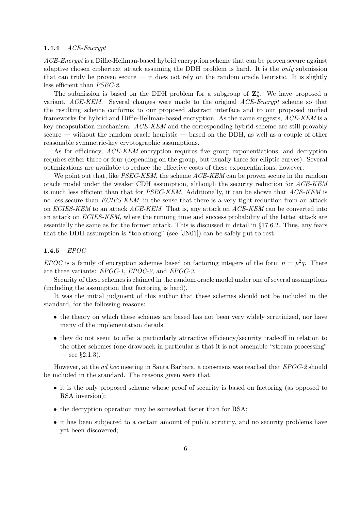#### **1.4.4**  $ACE\text{-}Energy$

ACE-Encrypt is a Diffie-Hellman-based hybrid encryption scheme that can be proven secure against adaptive chosen ciphertext attack assuming the DDH problem is hard. It is the only submission that can truly be proven secure  $-$  it does not rely on the random oracle heuristic. It is slightly less efficient than PSEC-2.

The submission is based on the DDH problem for a subgroup of  $\mathbf{Z}_n^*$ p . We have proposed a variant, ACE-KEM. Several changes were made to the original ACE-Encrypt scheme so that the resulting scheme conforms to our proposed abstract interface and to our proposed unified frameworks for hybrid and Diffie-Hellman-based encryption. As the name suggests, ACE-KEM is a key encapsulation mechanism. ACE-KEM and the corresponding hybrid scheme are still provably secure — without the random oracle heuristic — based on the DDH, as well as a couple of other reasonable symmetric-key cryptographic assumptions.

As for efficiency, ACE-KEM encryption requires five group exponentiations, and decryption requires either three or four (depending on the group, but usually three for elliptic curves). Several optimizations are available to reduce the effective costs of these exponentiations, however.

We point out that, like PSEC-KEM, the scheme ACE-KEM can be proven secure in the random oracle model under the weaker CDH assumption, although the security reduction for ACE-KEM is much less efficient than that for PSEC-KEM. Additionally, it can be shown that ACE-KEM is no less secure than ECIES-KEM, in the sense that there is a very tight reduction from an attack on ECIES-KEM to an attack ACE-KEM. That is, any attack on ACE-KEM can be converted into an attack on ECIES-KEM, where the running time and success probability of the latter attack are essentially the same as for the former attack. This is discussed in detail in §17.6.2. Thus, any fears that the DDH assumption is "too strong" (see [JN01]) can be safely put to rest.

## 1.4.5 EPOC

EPOC is a family of encryption schemes based on factoring integers of the form  $n = p^2q$ . There are three variants: EPOC-1, EPOC-2, and EPOC-3.

Security of these schemes is claimed in the random oracle model under one of several assumptions (including the assumption that factoring is hard).

It was the initial judgment of this author that these schemes should not be included in the standard, for the following reasons:

- the theory on which these schemes are based has not been very widely scrutinized, nor have many of the implementation details;
- they do not seem to offer a particularly attractive efficiency/security tradeoff in relation to the other schemes (one drawback in particular is that it is not amenable "stream processing" — see  $\S 2.1.3$ ).

However, at the ad hoc meeting in Santa Barbara, a consensus was reached that EPOC-2 should be included in the standard. The reasons given were that

- it is the only proposed scheme whose proof of security is based on factoring (as opposed to RSA inversion);
- the decryption operation may be somewhat faster than for RSA;
- it has been subjected to a certain amount of public scrutiny, and no security problems have yet been discovered;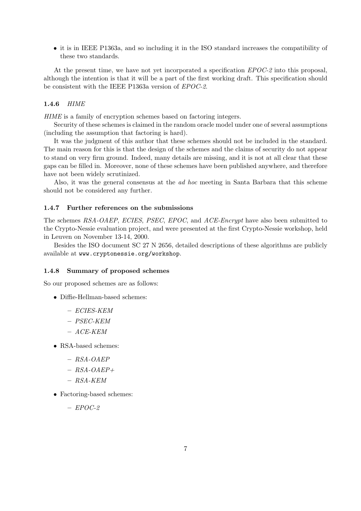• it is in IEEE P1363a, and so including it in the ISO standard increases the compatibility of these two standards.

At the present time, we have not yet incorporated a specification EPOC-2 into this proposal, although the intention is that it will be a part of the first working draft. This specification should be consistent with the IEEE P1363a version of EPOC-2.

#### 1.4.6 HIME

HIME is a family of encryption schemes based on factoring integers.

Security of these schemes is claimed in the random oracle model under one of several assumptions (including the assumption that factoring is hard).

It was the judgment of this author that these schemes should not be included in the standard. The main reason for this is that the design of the schemes and the claims of security do not appear to stand on very firm ground. Indeed, many details are missing, and it is not at all clear that these gaps can be filled in. Moreover, none of these schemes have been published anywhere, and therefore have not been widely scrutinized.

Also, it was the general consensus at the ad hoc meeting in Santa Barbara that this scheme should not be considered any further.

#### 1.4.7 Further references on the submissions

The schemes RSA-OAEP, ECIES, PSEC, EPOC, and ACE-Encrypt have also been submitted to the Crypto-Nessie evaluation project, and were presented at the first Crypto-Nessie workshop, held in Leuven on November 13-14, 2000.

Besides the ISO document SC 27 N 2656, detailed descriptions of these algorithms are publicly available at www.cryptonessie.org/workshop.

#### 1.4.8 Summary of proposed schemes

So our proposed schemes are as follows:

- Diffie-Hellman-based schemes:
	- ECIES-KEM
	- PSEC-KEM
	- $-$  ACE-KEM
- RSA-based schemes:
	- RSA-OAEP
	- $-$  RSA-OAEP+
	- $-$  RSA-KEM
- Factoring-based schemes:

 $-$  EPOC-2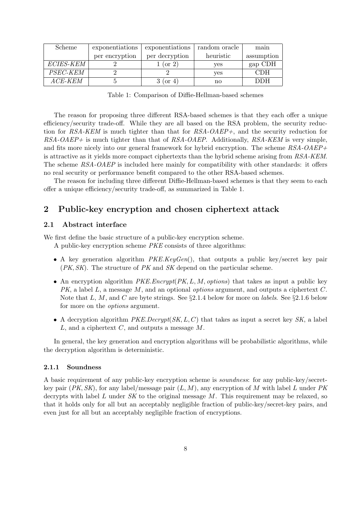| Scheme           | exponentiations | exponentiations | random oracle | main       |
|------------------|-----------------|-----------------|---------------|------------|
|                  | per encryption  | per decryption  | heuristic     | assumption |
| <i>ECIES-KEM</i> |                 | (or 2)          | <b>ves</b>    | gap CDH    |
| PSEC-KEM         |                 |                 | <b>ves</b>    | <b>CDH</b> |
| $ACE$ -KEM       |                 | $3$ (or 4)      | no            | <b>DDH</b> |

Table 1: Comparison of Diffie-Hellman-based schemes

The reason for proposing three different RSA-based schemes is that they each offer a unique efficiency/security trade-off. While they are all based on the RSA problem, the security reduction for RSA-KEM is much tighter than that for  $RSA-OAEP+$ , and the security reduction for  $RSA-OAEP+$  is much tighter than that of  $RSA-OAEP$ . Additionally,  $RSA-KEM$  is very simple, and fits more nicely into our general framework for hybrid encryption. The scheme  $RSA-OAEP+$ is attractive as it yields more compact ciphertexts than the hybrid scheme arising from RSA-KEM. The scheme RSA-OAEP is included here mainly for compatibility with other standards: it offers no real security or performance benefit compared to the other RSA-based schemes.

The reason for including three different Diffie-Hellman-based schemes is that they seem to each offer a unique efficiency/security trade-off, as summarized in Table 1.

## 2 Public-key encryption and chosen ciphertext attack

### 2.1 Abstract interface

We first define the basic structure of a public-key encryption scheme.

A public-key encryption scheme PKE consists of three algorithms:

- A key generation algorithm  $PKE. KeyGen()$ , that outputs a public key/secret key pair  $(PK, SK)$ . The structure of PK and SK depend on the particular scheme.
- An encryption algorithm  $PKE. Encryption$ ,  $(X, L, M, options)$  that takes as input a public key  $PK$ , a label L, a message M, and an optional *options* argument, and outputs a ciphertext C. Note that L, M, and C are byte strings. See  $\S2.1.4$  below for more on *labels*. See  $\S2.1.6$  below for more on the options argument.
- A decryption algorithm  $PKE.$  Decrypt( $SK, L, C$ ) that takes as input a secret key  $SK$ , a label  $L$ , and a ciphertext  $C$ , and outputs a message  $M$ .

In general, the key generation and encryption algorithms will be probabilistic algorithms, while the decryption algorithm is deterministic.

#### 2.1.1 Soundness

A basic requirement of any public-key encryption scheme is soundness: for any public-key/secretkey pair  $(PK, SK)$ , for any label/message pair  $(L, M)$ , any encryption of M with label L under PK decrypts with label L under  $SK$  to the original message M. This requirement may be relaxed, so that it holds only for all but an acceptably negligible fraction of public-key/secret-key pairs, and even just for all but an acceptably negligible fraction of encryptions.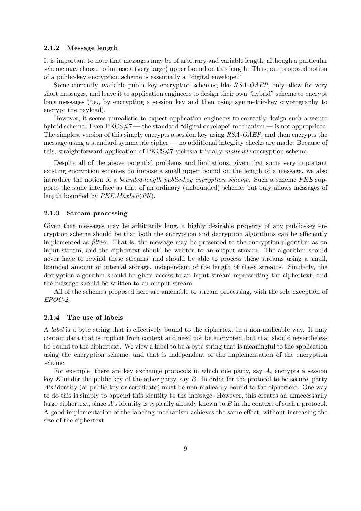#### 2.1.2 Message length

It is important to note that messages may be of arbitrary and variable length, although a particular scheme may choose to impose a (very large) upper bound on this length. Thus, our proposed notion of a public-key encryption scheme is essentially a "digital envelope."

Some currently available public-key encryption schemes, like RSA-OAEP, only allow for very short messages, and leave it to application engineers to design their own "hybrid" scheme to encrypt long messages (i.e., by encrypting a session key and then using symmetric-key cryptography to encrypt the payload).

However, it seems unrealistic to expect application engineers to correctly design such a secure hybrid scheme. Even PKCS#7 — the standard "digital envelope" mechanism — is not appropriate. The simplest version of this simply encrypts a session key using RSA-OAEP, and then encrypts the message using a standard symmetric cipher — no additional integrity checks are made. Because of this, straightforward application of PKCS#7 yields a trivially malleable encryption scheme.

Despite all of the above potential problems and limitations, given that some very important existing encryption schemes do impose a small upper bound on the length of a message, we also introduce the notion of a *bounded-length public-key encryption scheme*. Such a scheme *PKE* supports the same interface as that of an ordinary (unbounded) scheme, but only allows messages of length bounded by PKE.MaxLen(PK).

#### 2.1.3 Stream processing

Given that messages may be arbitrarily long, a highly desirable property of any public-key encryption scheme should be that both the encryption and decryption algorithms can be efficiently implemented as filters. That is, the message may be presented to the encryption algorithm as an input stream, and the ciphertext should be written to an output stream. The algorithm should never have to rewind these streams, and should be able to process these streams using a small, bounded amount of internal storage, independent of the length of these streams. Similarly, the decryption algorithm should be given access to an input stream representing the ciphertext, and the message should be written to an output stream.

All of the schemes proposed here are amenable to stream processing, with the sole exception of EPOC-2.

#### 2.1.4 The use of labels

A label is a byte string that is effectively bound to the ciphertext in a non-malleable way. It may contain data that is implicit from context and need not be encrypted, but that should nevertheless be bound to the ciphertext. We view a label to be a byte string that is meaningful to the application using the encryption scheme, and that is independent of the implementation of the encryption scheme.

For example, there are key exchange protocols in which one party, say A, encrypts a session key K under the public key of the other party, say  $B$ . In order for the protocol to be secure, party A's identity (or public key or certificate) must be non-malleably bound to the ciphertext. One way to do this is simply to append this identity to the message. However, this creates an unnecessarily large ciphertext, since  $A$ 's identity is typically already known to  $B$  in the context of such a protocol. A good implementation of the labeling mechanism achieves the same effect, without increasing the size of the ciphertext.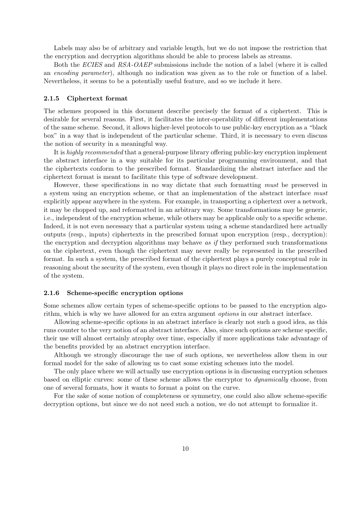Labels may also be of arbitrary and variable length, but we do not impose the restriction that the encryption and decryption algorithms should be able to process labels as streams.

Both the ECIES and RSA-OAEP submissions include the notion of a label (where it is called an encoding parameter), although no indication was given as to the role or function of a label. Nevertheless, it seems to be a potentially useful feature, and so we include it here.

#### 2.1.5 Ciphertext format

The schemes proposed in this document describe precisely the format of a ciphertext. This is desirable for several reasons. First, it facilitates the inter-operability of different implementations of the same scheme. Second, it allows higher-level protocols to use public-key encryption as a "black box" in a way that is independent of the particular scheme. Third, it is necessary to even discuss the notion of security in a meaningful way.

It is highly recommended that a general-purpose library offering public-key encryption implement the abstract interface in a way suitable for its particular programming environment, and that the ciphertexts conform to the prescribed format. Standardizing the abstract interface and the ciphertext format is meant to facilitate this type of software development.

However, these specifications in no way dictate that such formatting must be preserved in a system using an encryption scheme, or that an implementation of the abstract interface must explicitly appear anywhere in the system. For example, in transporting a ciphertext over a network, it may be chopped up, and reformatted in an arbitrary way. Some transformations may be generic, i.e., independent of the encryption scheme, while others may be applicable only to a specific scheme. Indeed, it is not even necessary that a particular system using a scheme standardized here actually outputs (resp., inputs) ciphertexts in the prescribed format upon encryption (resp., decryption): the encryption and decryption algorithms may behave as if they performed such transformations on the ciphertext, even though the ciphertext may never really be represented in the prescribed format. In such a system, the prescribed format of the ciphertext plays a purely conceptual role in reasoning about the security of the system, even though it plays no direct role in the implementation of the system.

#### 2.1.6 Scheme-specific encryption options

Some schemes allow certain types of scheme-specific options to be passed to the encryption algorithm, which is why we have allowed for an extra argument options in our abstract interface.

Allowing scheme-specific options in an abstract interface is clearly not such a good idea, as this runs counter to the very notion of an abstract interface. Also, since such options are scheme specific, their use will almost certainly atrophy over time, especially if more applications take advantage of the benefits provided by an abstract encryption interface.

Although we strongly discourage the use of such options, we nevertheless allow them in our formal model for the sake of allowing us to cast some existing schemes into the model.

The only place where we will actually use encryption options is in discussing encryption schemes based on elliptic curves: some of these scheme allows the encryptor to dynamically choose, from one of several formats, how it wants to format a point on the curve.

For the sake of some notion of completeness or symmetry, one could also allow scheme-specific decryption options, but since we do not need such a notion, we do not attempt to formalize it.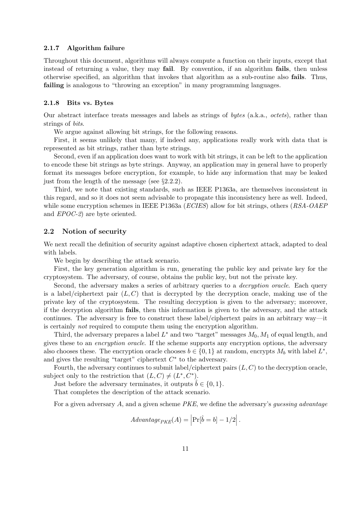#### 2.1.7 Algorithm failure

Throughout this document, algorithms will always compute a function on their inputs, except that instead of returning a value, they may **fail**. By convention, if an algorithm **fails**, then unless otherwise specified, an algorithm that invokes that algorithm as a sub-routine also fails. Thus, failing is analogous to "throwing an exception" in many programming languages.

#### 2.1.8 Bits vs. Bytes

Our abstract interface treats messages and labels as strings of bytes (a.k.a., octets), rather than strings of bits.

We argue against allowing bit strings, for the following reasons.

First, it seems unlikely that many, if indeed any, applications really work with data that is represented as bit strings, rather than byte strings.

Second, even if an application does want to work with bit strings, it can be left to the application to encode these bit strings as byte strings. Anyway, an application may in general have to properly format its messages before encryption, for example, to hide any information that may be leaked just from the length of the message (see §2.2.2).

Third, we note that existing standards, such as IEEE P1363a, are themselves inconsistent in this regard, and so it does not seem advisable to propagate this inconsistency here as well. Indeed, while some encryption schemes in IEEE P1363a (*ECIES*) allow for bit strings, others (*RSA-OAEP* and EPOC-2) are byte oriented.

#### 2.2 Notion of security

We next recall the definition of security against adaptive chosen ciphertext attack, adapted to deal with labels.

We begin by describing the attack scenario.

First, the key generation algorithm is run, generating the public key and private key for the cryptosystem. The adversary, of course, obtains the public key, but not the private key.

Second, the adversary makes a series of arbitrary queries to a *decryption oracle*. Each query is a label/ciphertext pair  $(L, C)$  that is decrypted by the decryption oracle, making use of the private key of the cryptosystem. The resulting decryption is given to the adversary; moreover, if the decryption algorithm fails, then this information is given to the adversary, and the attack continues. The adversary is free to construct these label/ciphertext pairs in an arbitrary way—it is certainly not required to compute them using the encryption algorithm.

Third, the adversary prepares a label  $L^*$  and two "target" messages  $M_0, M_1$  of equal length, and gives these to an encryption oracle. If the scheme supports any encryption options, the adversary also chooses these. The encryption oracle chooses  $b \in \{0,1\}$  at random, encrypts  $M_b$  with label  $L^*$ , and gives the resulting "target" ciphertext  $C^*$  to the adversary.

Fourth, the adversary continues to submit label/ciphertext pairs  $(L, C)$  to the decryption oracle, subject only to the restriction that  $(L, C) \neq (L^*, C^*)$ .

Just before the adversary terminates, it outputs  $b \in \{0, 1\}.$ 

That completes the description of the attack scenario.

For a given adversary  $A$ , and a given scheme  $PKE$ , we define the adversary's quessing advantage

$$
Advantage_{PKE}(A) = \left| \Pr[\hat{b} = b] - 1/2 \right|.
$$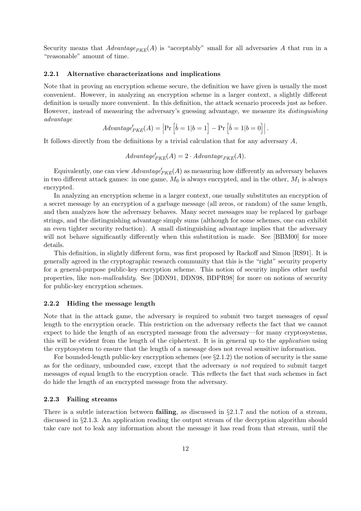Security means that  $Advantage_{PKE}(A)$  is "acceptably" small for all adversaries A that run in a "reasonable" amount of time.

#### 2.2.1 Alternative characterizations and implications

Note that in proving an encryption scheme secure, the definition we have given is usually the most convenient. However, in analyzing an encryption scheme in a larger context, a slightly different definition is usually more convenient. In this definition, the attack scenario proceeds just as before. However, instead of measuring the adversary's guessing advantage, we measure its distinguishing advantage

$$
Advantage'_{PKE}(A) = \left| \Pr\left[\hat{b} = 1 | b = 1\right] - \Pr\left[\hat{b} = 1 | b = 0\right] \right|.
$$

It follows directly from the definitions by a trivial calculation that for any adversary  $A$ ,

$$
Advantage'_{PKE}(A) = 2 \cdot Advantage_{PKE}(A).
$$

Equivalently, one can view  $Advantage'_{PKE}(A)$  as measuring how differently an adversary behaves in two different attack games: in one game,  $M_0$  is always encrypted, and in the other,  $M_1$  is always encrypted.

In analyzing an encryption scheme in a larger context, one usually substitutes an encryption of a secret message by an encryption of a garbage message (all zeros, or random) of the same length, and then analyzes how the adversary behaves. Many secret messages may be replaced by garbage strings, and the distinguishing advantage simply sums (although for some schemes, one can exhibit an even tighter security reduction). A small distinguishing advantage implies that the adversary will not behave significantly differently when this substitution is made. See [BBM00] for more details.

This definition, in slightly different form, was first proposed by Rackoff and Simon [RS91]. It is generally agreed in the cryptographic research community that this is the "right" security property for a general-purpose public-key encryption scheme. This notion of security implies other useful properties, like non-malleability. See [DDN91, DDN98, BDPR98] for more on notions of security for public-key encryption schemes.

#### 2.2.2 Hiding the message length

Note that in the attack game, the adversary is required to submit two target messages of *equal* length to the encryption oracle. This restriction on the adversary reflects the fact that we cannot expect to hide the length of an encrypted message from the adversary—for many cryptosystems, this will be evident from the length of the ciphertext. It is in general up to the application using the cryptosystem to ensure that the length of a message does not reveal sensitive information.

For bounded-length public-key encryption schemes (see  $\S2.1.2$ ) the notion of security is the same as for the ordinary, unbounded case, except that the adversary is not required to submit target messages of equal length to the encryption oracle. This reflects the fact that such schemes in fact do hide the length of an encrypted message from the adversary.

#### 2.2.3 Failing streams

There is a subtle interaction between **failing**, as discussed in  $\S2.1.7$  and the notion of a stream, discussed in §2.1.3. An application reading the output stream of the decryption algorithm should take care not to leak any information about the message it has read from that stream, until the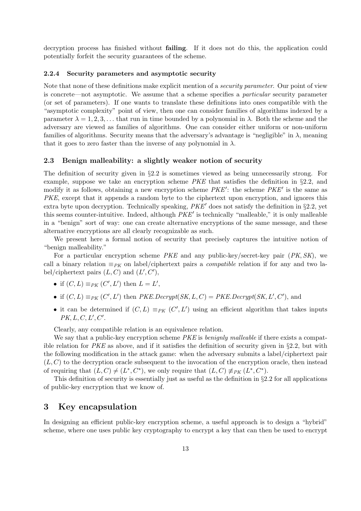decryption process has finished without failing. If it does not do this, the application could potentially forfeit the security guarantees of the scheme.

#### 2.2.4 Security parameters and asymptotic security

Note that none of these definitions make explicit mention of a *security parameter*. Our point of view is concrete—not asymptotic. We assume that a scheme specifies a particular security parameter (or set of parameters). If one wants to translate these definitions into ones compatible with the "asymptotic complexity" point of view, then one can consider families of algorithms indexed by a parameter  $\lambda = 1, 2, 3, \ldots$  that run in time bounded by a polynomial in  $\lambda$ . Both the scheme and the adversary are viewed as families of algorithms. One can consider either uniform or non-uniform families of algorithms. Security means that the adversary's advantage is "negligible" in  $\lambda$ , meaning that it goes to zero faster than the inverse of any polynomial in  $\lambda$ .

#### 2.3 Benign malleability: a slightly weaker notion of security

The definition of security given in §2.2 is sometimes viewed as being unnecessarily strong. For example, suppose we take an encryption scheme  $PKE$  that satisfies the definition in §2.2, and modify it as follows, obtaining a new encryption scheme  $PKE'$ : the scheme  $PKE'$  is the same as PKE, except that it appends a random byte to the ciphertext upon encryption, and ignores this extra byte upon decryption. Technically speaking,  $PKE'$  does not satisfy the definition in §2.2, yet this seems counter-intuitive. Indeed, although  $PKE'$  is technically "malleable," it is only malleable in a "benign" sort of way: one can create alternative encryptions of the same message, and these alternative encryptions are all clearly recognizable as such.

We present here a formal notion of security that precisely captures the intuitive notion of "benign malleability."

For a particular encryption scheme  $PKE$  and any public-key/secret-key pair  $(PK, SK)$ , we call a binary relation  $\equiv_{PK}$  on label/ciphertext pairs a *compatible* relation if for any and two label/ciphertext pairs  $(L, C)$  and  $(L', C')$ ,

- if  $(C, L) \equiv_{PK} (C', L')$  then  $L = L'$ ,
- if  $(C, L) \equiv_{PK} (C', L')$  then  $PKE.Decrypt(SK, L, C) = PKE.Decrypt(SK, L', C')$ , and
- it can be determined if  $(C, L) \equiv_{PK} (C', L')$  using an efficient algorithm that takes inputs  $PK, L, C, L', C'.$

Clearly, any compatible relation is an equivalence relation.

We say that a public-key encryption scheme  $PKE$  is *benignly malleable* if there exists a compatible relation for PKE as above, and if it satisfies the definition of security given in  $\S 2.2$ , but with the following modification in the attack game: when the adversary submits a label/ciphertext pair  $(L, C)$  to the decryption oracle subsequent to the invocation of the encryption oracle, then instead of requiring that  $(L, C) \neq (L^*, C^*)$ , we only require that  $(L, C) \neq_{PK} (L^*, C^*)$ .

This definition of security is essentially just as useful as the definition in  $\S 2.2$  for all applications of public-key encryption that we know of.

## 3 Key encapsulation

In designing an efficient public-key encryption scheme, a useful approach is to design a "hybrid" scheme, where one uses public key cryptography to encrypt a key that can then be used to encrypt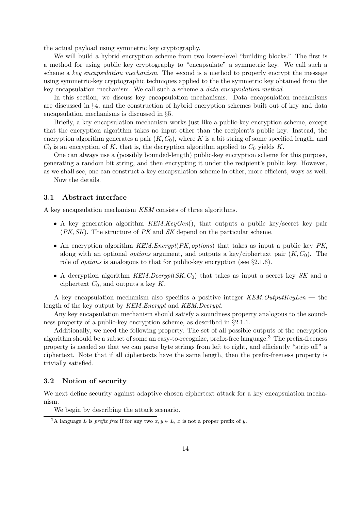the actual payload using symmetric key cryptography.

We will build a hybrid encryption scheme from two lower-level "building blocks." The first is a method for using public key cryptography to "encapsulate" a symmetric key. We call such a scheme a key encapsulation mechanism. The second is a method to properly encrypt the message using symmetric-key cryptographic techniques applied to the the symmetric key obtained from the key encapsulation mechanism. We call such a scheme a data encapsulation method.

In this section, we discuss key encapsulation mechanisms. Data encapsulation mechanisms are discussed in §4, and the construction of hybrid encryption schemes built out of key and data encapsulation mechanisms is discussed in §5.

Briefly, a key encapsulation mechanism works just like a public-key encryption scheme, except that the encryption algorithm takes no input other than the recipient's public key. Instead, the encryption algorithm generates a pair  $(K, C_0)$ , where K is a bit string of some specified length, and  $C_0$  is an encryption of K, that is, the decryption algorithm applied to  $C_0$  yields K.

One can always use a (possibly bounded-length) public-key encryption scheme for this purpose, generating a random bit string, and then encrypting it under the recipient's public key. However, as we shall see, one can construct a key encapsulation scheme in other, more efficient, ways as well.

Now the details.

#### 3.1 Abstract interface

A key encapsulation mechanism KEM consists of three algorithms.

- A key generation algorithm  $KEM. KeyGen()$ , that outputs a public key/secret key pair  $(PK, SK)$ . The structure of PK and SK depend on the particular scheme.
- An encryption algorithm  $KEM. \text{Encrypt}(PK, options)$  that takes as input a public key  $PK$ , along with an optional *options* argument, and outputs a key/ciphertext pair  $(K, C_0)$ . The role of *options* is analogous to that for public-key encryption (see §2.1.6).
- A decryption algorithm  $KEM.Decrypt(SK, C_0)$  that takes as input a secret key SK and a ciphertext  $C_0$ , and outputs a key K.

A key encapsulation mechanism also specifies a positive integer  $KEM.OutputKeyLen$  — the length of the key output by KEM.Encrypt and KEM.Decrypt.

Any key encapsulation mechanism should satisfy a soundness property analogous to the soundness property of a public-key encryption scheme, as described in §2.1.1.

Additionally, we need the following property. The set of all possible outputs of the encryption algorithm should be a subset of some an easy-to-recognize, prefix-free language.<sup>3</sup> The prefix-freeness property is needed so that we can parse byte strings from left to right, and efficiently "strip off" a ciphertext. Note that if all ciphertexts have the same length, then the prefix-freeness property is trivially satisfied.

#### 3.2 Notion of security

We next define security against adaptive chosen ciphertext attack for a key encapsulation mechanism.

We begin by describing the attack scenario.

<sup>&</sup>lt;sup>3</sup>A language L is prefix free if for any two  $x, y \in L$ , x is not a proper prefix of y.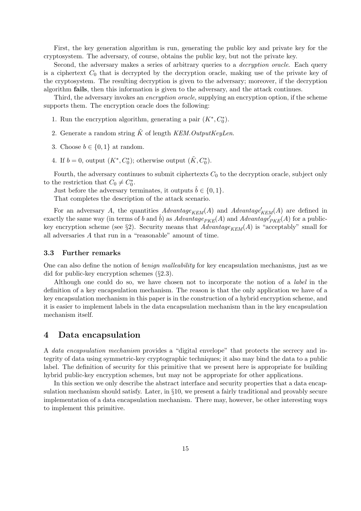First, the key generation algorithm is run, generating the public key and private key for the cryptosystem. The adversary, of course, obtains the public key, but not the private key.

Second, the adversary makes a series of arbitrary queries to a *decryption oracle*. Each query is a ciphertext  $C_0$  that is decrypted by the decryption oracle, making use of the private key of the cryptosystem. The resulting decryption is given to the adversary; moreover, if the decryption algorithm fails, then this information is given to the adversary, and the attack continues.

Third, the adversary invokes an *encryption oracle*, supplying an encryption option, if the scheme supports them. The encryption oracle does the following:

- 1. Run the encryption algorithm, generating a pair  $(K^*, C_0^*)$ .
- 2. Generate a random string  $\tilde{K}$  of length KEM. OutputKeyLen.
- 3. Choose  $b \in \{0, 1\}$  at random.
- 4. If  $b = 0$ , output  $(K^*, C_0^*)$ ; otherwise output  $(\tilde{K}, C_0^*)$ .

Fourth, the adversary continues to submit ciphertexts  $C_0$  to the decryption oracle, subject only to the restriction that  $\ddot{C_0} \neq C_0^*$  $\overset{*}{\scriptscriptstyle{0}}$ .

Just before the adversary terminates, it outputs  $\ddot{b} \in \{0, 1\}.$ 

That completes the description of the attack scenario.

For an adversary A, the quantities  $Advantage_{KEM}(A)$  and  $Advantage'_{KEM}(A)$  are defined in exactly the same way (in terms of b and  $\hat{b}$ ) as  $Advantage_{pKE}(A)$  and  $Advantage_{pKE}(A)$  for a publickey encryption scheme (see §2). Security means that  $Advantage_{KEM}(A)$  is "acceptably" small for all adversaries A that run in a "reasonable" amount of time.

#### 3.3 Further remarks

One can also define the notion of benign malleability for key encapsulation mechanisms, just as we did for public-key encryption schemes (§2.3).

Although one could do so, we have chosen not to incorporate the notion of a label in the definition of a key encapsulation mechanism. The reason is that the only application we have of a key encapsulation mechanism in this paper is in the construction of a hybrid encryption scheme, and it is easier to implement labels in the data encapsulation mechanism than in the key encapsulation mechanism itself.

## 4 Data encapsulation

A data encapsulation mechanism provides a "digital envelope" that protects the secrecy and integrity of data using symmetric-key cryptographic techniques; it also may bind the data to a public label. The definition of security for this primitive that we present here is appropriate for building hybrid public-key encryption schemes, but may not be appropriate for other applications.

In this section we only describe the abstract interface and security properties that a data encapsulation mechanism should satisfy. Later, in §10, we present a fairly traditional and provably secure implementation of a data encapsulation mechanism. There may, however, be other interesting ways to implement this primitive.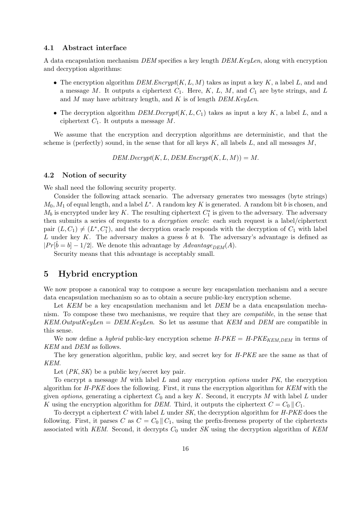#### 4.1 Abstract interface

A data encapsulation mechanism DEM specifies a key length DEM.KeyLen, along with encryption and decryption algorithms:

- The encryption algorithm  $DEM. \text{Encrypt}(K, L, M)$  takes as input a key K, a label L, and and a message M. It outputs a ciphertext  $C_1$ . Here, K, L, M, and  $C_1$  are byte strings, and L and  $M$  may have arbitrary length, and  $K$  is of length  $DEM. Key Len.$
- The decryption algorithm  $DEM.Decrypt(K, L, C_1)$  takes as input a key K, a label L, and a ciphertext  $C_1$ . It outputs a message M.

We assume that the encryption and decryption algorithms are deterministic, and that the scheme is (perfectly) sound, in the sense that for all keys  $K$ , all labels  $L$ , and all messages  $M$ ,

 $DEM.$   $Decrypt(K, L, DEM.$   $Encrypt(K, L, M)) = M$ .

#### 4.2 Notion of security

We shall need the following security property.

Consider the following attack scenario. The adversary generates two messages (byte strings)  $M_0, M_1$  of equal length, and a label  $L^*$ . A random key K is generated. A random bit b is chosen, and  $M_b$  is encrypted under key K. The resulting ciphertext  $C_1^*$  $j^*$  is given to the adversary. The adversary then submits a series of requests to a decryption oracle: each such request is a label/ciphertext pair  $(L, C_1) \neq (L^*, C_1^*)$ , and the decryption oracle responds with the decryption of  $C_1$  with label L under key K. The adversary makes a guess  $\hat{b}$  at b. The adversary's advantage is defined as  $|Pr[\hat{b}=b] - 1/2|$ . We denote this advantage by  $Advantage_{DEM}(A)$ .

Security means that this advantage is acceptably small.

## 5 Hybrid encryption

We now propose a canonical way to compose a secure key encapsulation mechanism and a secure data encapsulation mechanism so as to obtain a secure public-key encryption scheme.

Let KEM be a key encapsulation mechanism and let DEM be a data encapsulation mechanism. To compose these two mechanisms, we require that they are compatible, in the sense that KEM. OutputKeyLen = DEM. KeyLen. So let us assume that KEM and DEM are compatible in this sense.

We now define a hybrid public-key encryption scheme  $H-PKE = H-PKE_{KEM,DEM}$  in terms of KEM and DEM as follows.

The key generation algorithm, public key, and secret key for  $H-PKE$  are the same as that of KEM.

Let  $(PK, SK)$  be a public key/secret key pair.

To encrypt a message M with label  $L$  and any encryption *options* under  $PK$ , the encryption algorithm for  $H-PKE$  does the following. First, it runs the encryption algorithm for  $KEM$  with the given *options*, generating a ciphertext  $C_0$  and a key K. Second, it encrypts M with label L under K using the encryption algorithm for DEM. Third, it outputs the ciphertext  $C = C_0 || C_1$ .

To decrypt a ciphertext C with label L under  $SK$ , the decryption algorithm for  $H-PKE$  does the following. First, it parses C as  $C = C_0 || C_1$ , using the prefix-freeness property of the ciphertexts associated with KEM. Second, it decrypts  $C_0$  under SK using the decryption algorithm of KEM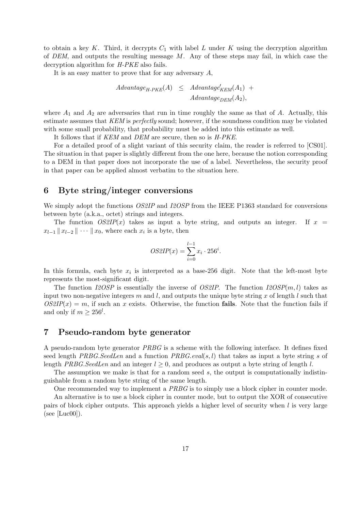to obtain a key K. Third, it decrypts  $C_1$  with label L under K using the decryption algorithm of DEM, and outputs the resulting message  $M$ . Any of these steps may fail, in which case the decryption algorithm for H-PKE also fails.

It is an easy matter to prove that for any adversary  $A$ ,

$$
Advanced_{H-PKE}(A) \leq \t{Advantage}_{KEM}(A_1) + \t{Advantage}_{DEM}(A_2),
$$

where  $A_1$  and  $A_2$  are adversaries that run in time roughly the same as that of A. Actually, this estimate assumes that KEM is perfectly sound; however, if the soundness condition may be violated with some small probability, that probability must be added into this estimate as well.

It follows that if KEM and DEM are secure, then so is H-PKE.

For a detailed proof of a slight variant of this security claim, the reader is referred to [CS01]. The situation in that paper is slightly different from the one here, because the notion corresponding to a DEM in that paper does not incorporate the use of a label. Nevertheless, the security proof in that paper can be applied almost verbatim to the situation here.

## 6 Byte string/integer conversions

We simply adopt the functions *OS2IP* and *I2OSP* from the IEEE P1363 standard for conversions between byte (a.k.a., octet) strings and integers.

The function  $OS2IP(x)$  takes as input a byte string, and outputs an integer. If  $x =$  $x_{l-1}$   $\|x_{l-2}\| \cdots \|x_0$ , where each  $x_i$  is a byte, then

$$
OS2IP(x) = \sum_{i=0}^{l-1} x_i \cdot 256^i.
$$

In this formula, each byte  $x_i$  is interpreted as a base-256 digit. Note that the left-most byte represents the most-significant digit.

The function I2OSP is essentially the inverse of OS2IP. The function I2OSP $(m, l)$  takes as input two non-negative integers m and l, and outputs the unique byte string x of length l such that  $OS2IP(x) = m$ , if such an x exists. Otherwise, the function fails. Note that the function fails if and only if  $m \geq 256^l$ .

## 7 Pseudo-random byte generator

A pseudo-random byte generator PRBG is a scheme with the following interface. It defines fixed seed length PRBG.SeedLen and a function  $PRBG$ .eval(s, l) that takes as input a byte string s of length *PRBG.SeedLen* and an integer  $l \geq 0$ , and produces as output a byte string of length l.

The assumption we make is that for a random seed s, the output is computationally indistinguishable from a random byte string of the same length.

One recommended way to implement a PRBG is to simply use a block cipher in counter mode.

An alternative is to use a block cipher in counter mode, but to output the XOR of consecutive pairs of block cipher outputs. This approach yields a higher level of security when  $l$  is very large  $(see [Luc00]).$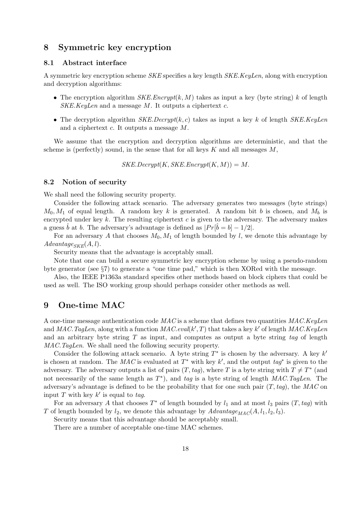## 8 Symmetric key encryption

## 8.1 Abstract interface

A symmetric key encryption scheme SKE specifies a key length SKE.KeyLen, along with encryption and decryption algorithms:

- The encryption algorithm  $SKE.$  Encrypt $(k, M)$  takes as input a key (byte string) k of length SKE.KeyLen and a message M. It outputs a ciphertext c.
- The decryption algorithm  $SKE.$  Decrypt $(k, c)$  takes as input a key k of length  $SKE.$  KeyLen and a ciphertext c. It outputs a message M.

We assume that the encryption and decryption algorithms are deterministic, and that the scheme is (perfectly) sound, in the sense that for all keys  $K$  and all messages  $M$ ,

 $SKE.$ Decrypt $(K, SKE.$ Encrypt $(K, M)) = M$ .

## 8.2 Notion of security

We shall need the following security property.

Consider the following attack scenario. The adversary generates two messages (byte strings)  $M_0, M_1$  of equal length. A random key k is generated. A random bit b is chosen, and  $M_b$  is encrypted under key  $k$ . The resulting ciphertext  $c$  is given to the adversary. The adversary makes a guess  $\hat{b}$  at b. The adversary's advantage is defined as  $|Pr[\hat{b} = b] - 1/2|$ .

For an adversary A that chooses  $M_0, M_1$  of length bounded by l, we denote this advantage by  $Advantage_{SKE}(A, l).$ 

Security means that the advantage is acceptably small.

Note that one can build a secure symmetric key encryption scheme by using a pseudo-random byte generator (see §7) to generate a "one time pad," which is then XORed with the message.

Also, the IEEE P1363a standard specifies other methods based on block ciphers that could be used as well. The ISO working group should perhaps consider other methods as well.

## 9 One-time MAC

A one-time message authentication code  $MAC$  is a scheme that defines two quantities  $MACKeyLen$ and MAC. TagLen, along with a function  $MAC$ .  $eval(k', T)$  that takes a key  $k'$  of length  $MAC$ . KeyLen and an arbitrary byte string  $T$  as input, and computes as output a byte string tag of length MAC.TagLen. We shall need the following security property.

Consider the following attack scenario. A byte string  $T^*$  is chosen by the adversary. A key  $k'$ is chosen at random. The MAC is evaluated at  $T^*$  with key k', and the output tag\* is given to the adversary. The adversary outputs a list of pairs  $(T, tag)$ , where T is a byte string with  $T \neq T^*$  (and not necessarily of the same length as  $T^*$ ), and tag is a byte string of length MAC.TagLen. The adversary's advantage is defined to be the probability that for one such pair  $(T, taq)$ , the MAC on input T with key  $k'$  is equal to tag.

For an adversary A that chooses  $T^*$  of length bounded by  $l_1$  and at most  $l_3$  pairs  $(T, tag)$  with T of length bounded by  $l_2$ , we denote this advantage by  $Advantage_{MAC}(A, l_1, l_2, l_3)$ .

Security means that this advantage should be acceptably small.

There are a number of acceptable one-time MAC schemes.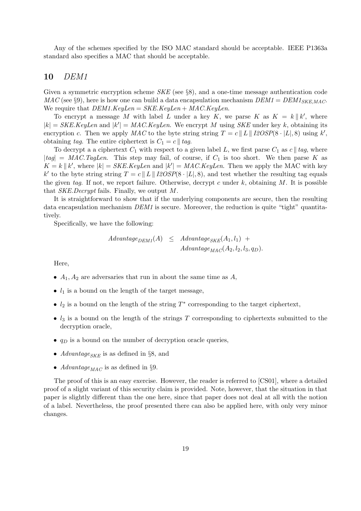Any of the schemes specified by the ISO MAC standard should be acceptable. IEEE P1363a standard also specifies a MAC that should be acceptable.

## 10 DEM1

Given a symmetric encryption scheme  $SKE$  (see §8), and a one-time message authentication code  $MAC$  (see §9), here is how one can build a data encapsulation mechanism  $DEM = DEM1_{SKE, MAC}$ . We require that  $DEM1. KeyLen = SKE. KeyLen + MAC. KeyLen.$ 

To encrypt a message M with label L under a key K, we parse K as  $K = k || k'$ , where  $|k| = SKE. KeyLen$  and  $|k'| = MAC. KeyLen$ . We encrypt M using SKE under key k, obtaining its encryption c. Then we apply MAC to the byte string string  $T = c || L || I2OSP(8 \cdot | L |, 8)$  using k', obtaining tag. The entire ciphertext is  $C_1 = c || tag$ .

To decrypt a a ciphertext  $C_1$  with respect to a given label L, we first parse  $C_1$  as  $c \parallel tag$ , where  $|tag| = MAC.TagLen.$  This step may fail, of course, if  $C_1$  is too short. We then parse K as  $K = k || k'$ , where  $|k| = SKE. KeyLen$  and  $|k'| = MAC. KeyLen$ . Then we apply the MAC with key k' to the byte string string  $T = c || L || I2OSP(8 \cdot | L |, 8)$ , and test whether the resulting tag equals the given tag. If not, we report failure. Otherwise, decrypt c under k, obtaining  $M$ . It is possible that SKE.Decrypt fails. Finally, we output M.

It is straightforward to show that if the underlying components are secure, then the resulting data encapsulation mechanism DEM1 is secure. Moreover, the reduction is quite "tight" quantitatively.

Specifically, we have the following:

$$
Advantage_{DEM1}(A) \leq Advantage_{SKE}(A_1, l_1) +
$$
  
\n
$$
Advantage_{MAC}(A_2, l_2, l_3, q_D).
$$

Here,

- $A_1, A_2$  are adversaries that run in about the same time as A,
- $l_1$  is a bound on the length of the target message,
- $l_2$  is a bound on the length of the string  $T^*$  corresponding to the target ciphertext,
- $l_3$  is a bound on the length of the strings T corresponding to ciphertexts submitted to the decryption oracle,
- $q_D$  is a bound on the number of decryption oracle queries,
- Advantage<sub>SKE</sub> is as defined in §8, and
- Advantage<sub>MAC</sub> is as defined in §9.

The proof of this is an easy exercise. However, the reader is referred to [CS01], where a detailed proof of a slight variant of this security claim is provided. Note, however, that the situation in that paper is slightly different than the one here, since that paper does not deal at all with the notion of a label. Nevertheless, the proof presented there can also be applied here, with only very minor changes.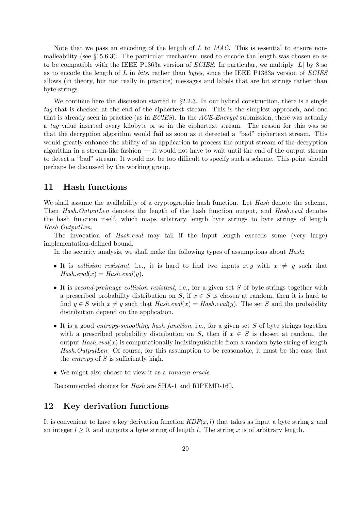Note that we pass an encoding of the length of  $L$  to  $MAC$ . This is essential to ensure nonmalleability (see §15.6.3). The particular mechanism used to encode the length was chosen so as to be compatible with the IEEE P1363a version of ECIES. In particular, we multiply  $|L|$  by 8 so as to encode the length of L in bits, rather than bytes, since the IEEE P1363a version of  $ECIES$ allows (in theory, but not really in practice) messages and labels that are bit strings rather than byte strings.

We continue here the discussion started in §2.2.3. In our hybrid construction, there is a single tag that is checked at the end of the ciphertext stream. This is the simplest approach, and one that is already seen in practice (as in ECIES). In the ACE-Encrypt submission, there was actually a tag value inserted every kilobyte or so in the ciphertext stream. The reason for this was so that the decryption algorithm would fail as soon as it detected a "bad" ciphertext stream. This would greatly enhance the ability of an application to process the output stream of the decryption algorithm in a stream-like fashion — it would not have to wait until the end of the output stream to detect a "bad" stream. It would not be too difficult to specify such a scheme. This point should perhaps be discussed by the working group.

## 11 Hash functions

We shall assume the availability of a cryptographic hash function. Let Hash denote the scheme. Then Hash.OutputLen denotes the length of the hash function output, and Hash.eval denotes the hash function itself, which maps arbitrary length byte strings to byte strings of length Hash.OutputLen.

The invocation of *Hash.eval* may fail if the input length exceeds some (very large) implementation-defined bound.

In the security analysis, we shall make the following types of assumptions about Hash:

- It is collision resistant, i.e., it is hard to find two inputs  $x, y$  with  $x \neq y$  such that  $Hash.eval(x) = Hash.eval(y).$
- It is second-preimage collision resistant, i.e., for a given set S of byte strings together with a prescribed probability distribution on S, if  $x \in S$  is chosen at random, then it is hard to find  $y \in S$  with  $x \neq y$  such that  $Hash.\text{eval}(x) = Hash.\text{eval}(y)$ . The set S and the probability distribution depend on the application.
- It is a good *entropy-smoothing hash function*, i.e., for a given set  $S$  of byte strings together with a prescribed probability distribution on S, then if  $x \in S$  is chosen at random, the output  $Hash eval(x)$  is computationally indistinguishable from a random byte string of length Hash.OutputLen. Of course, for this assumption to be reasonable, it must be the case that the *entropy* of  $S$  is sufficiently high.
- We might also choose to view it as a *random oracle*.

Recommended choices for Hash are SHA-1 and RIPEMD-160.

## 12 Key derivation functions

It is convenient to have a key derivation function  $KDF(x, l)$  that takes as input a byte string x and an integer  $l \geq 0$ , and outputs a byte string of length l. The string x is of arbitrary length.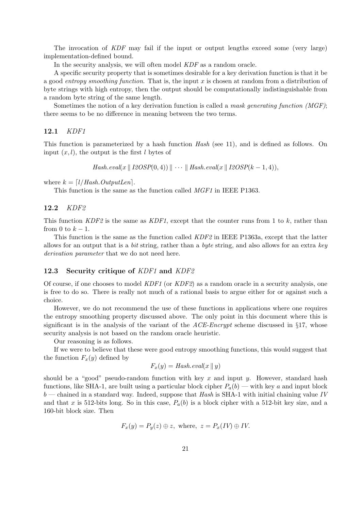The invocation of KDF may fail if the input or output lengths exceed some (very large) implementation-defined bound.

In the security analysis, we will often model  $KDF$  as a random oracle.

A specific security property that is sometimes desirable for a key derivation function is that it be a good entropy smoothing function. That is, the input x is chosen at random from a distribution of byte strings with high entropy, then the output should be computationally indistinguishable from a random byte string of the same length.

Sometimes the notion of a key derivation function is called a mask generating function  $(MGF)$ ; there seems to be no difference in meaning between the two terms.

#### 12.1 KDF1

This function is parameterized by a hash function Hash (see 11), and is defined as follows. On input  $(x, l)$ , the output is the first l bytes of

 $Hash.eval(x || I2OSP(0, 4)) || \cdots || Hash.eval(x || I2OSP(k - 1, 4)),$ 

where  $k = \lfloor l / \text{Hash.} OutputLen \rfloor$ .

This function is the same as the function called MGF1 in IEEE P1363.

#### 12.2 KDF2

This function KDF2 is the same as KDF1, except that the counter runs from 1 to k, rather than from 0 to  $k-1$ .

This function is the same as the function called KDF2 in IEEE P1363a, except that the latter allows for an output that is a bit string, rather than a byte string, and also allows for an extra key derivation parameter that we do not need here.

#### 12.3 Security critique of KDF1 and KDF2

Of course, if one chooses to model  $KDF1$  (or  $KDF2$ ) as a random oracle in a security analysis, one is free to do so. There is really not much of a rational basis to argue either for or against such a choice.

However, we do not recommend the use of these functions in applications where one requires the entropy smoothing property discussed above. The only point in this document where this is significant is in the analysis of the variant of the  $ACE\text{-}Energy$  scheme discussed in §17, whose security analysis is not based on the random oracle heuristic.

Our reasoning is as follows.

If we were to believe that these were good entropy smoothing functions, this would suggest that the function  $F_x(y)$  defined by

$$
F_x(y) = \text{Hash}.\text{eval}(x \mid y)
$$

should be a "good" pseudo-random function with key x and input y. However, standard hash functions, like SHA-1, are built using a particular block cipher  $P_a(b)$  — with key a and input block  $b$  — chained in a standard way. Indeed, suppose that Hash is SHA-1 with initial chaining value IV and that x is 512-bits long. So in this case,  $P_a(b)$  is a block cipher with a 512-bit key size, and a 160-bit block size. Then

$$
F_x(y) = P_y(z) \oplus z
$$
, where,  $z = P_x(IV) \oplus IV$ .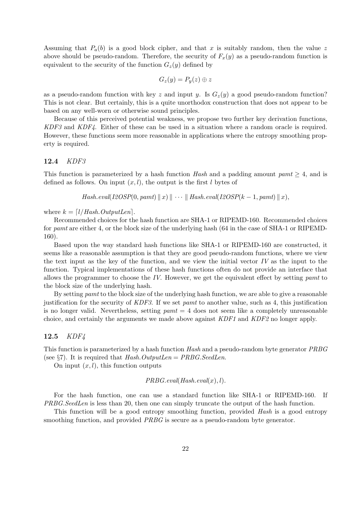Assuming that  $P_a(b)$  is a good block cipher, and that x is suitably random, then the value z above should be pseudo-random. Therefore, the security of  $F_x(y)$  as a pseudo-random function is equivalent to the security of the function  $G_z(y)$  defined by

$$
G_z(y) = P_y(z) \oplus z
$$

as a pseudo-random function with key z and input y. Is  $G_z(y)$  a good pseudo-random function? This is not clear. But certainly, this is a quite unorthodox construction that does not appear to be based on any well-worn or otherwise sound principles.

Because of this perceived potential weakness, we propose two further key derivation functions, KDF3 and KDF4. Either of these can be used in a situation where a random oracle is required. However, these functions seem more reasonable in applications where the entropy smoothing property is required.

#### 12.4 KDF3

This function is parameterized by a hash function Hash and a padding amount  $pamt \geq 4$ , and is defined as follows. On input  $(x, l)$ , the output is the first l bytes of

$$
Hash.eval(12OSP(0, pant) \parallel x) \parallel \cdots \parallel Hash.eval(12OSP(k-1, pant) \parallel x),
$$

where  $k = \lfloor l / \text{Hash.} OutputLen \rfloor$ .

Recommended choices for the hash function are SHA-1 or RIPEMD-160. Recommended choices for pamt are either 4, or the block size of the underlying hash (64 in the case of SHA-1 or RIPEMD-160).

Based upon the way standard hash functions like SHA-1 or RIPEMD-160 are constructed, it seems like a reasonable assumption is that they are good pseudo-random functions, where we view the text input as the key of the function, and we view the initial vector  $IV$  as the input to the function. Typical implementations of these hash functions often do not provide an interface that allows the programmer to choose the IV. However, we get the equivalent effect by setting  $pamt$ the block size of the underlying hash.

By setting pamt to the block size of the underlying hash function, we are able to give a reasonable justification for the security of KDF3. If we set pamt to another value, such as 4, this justification is no longer valid. Nevertheless, setting  $pamt = 4$  does not seem like a completely unreasonable choice, and certainly the arguments we made above against KDF1 and KDF2 no longer apply.

#### 12.5 KDF4

This function is parameterized by a hash function Hash and a pseudo-random byte generator PRBG (see  $\S7$ ). It is required that Hash. OutputLen = PRBG. SeedLen.

On input  $(x, l)$ , this function outputs

#### $PRBG$ .eval(Hash.eval(x), l).

For the hash function, one can use a standard function like SHA-1 or RIPEMD-160. If PRBG.SeedLen is less than 20, then one can simply truncate the output of the hash function.

This function will be a good entropy smoothing function, provided Hash is a good entropy smoothing function, and provided *PRBG* is secure as a pseudo-random byte generator.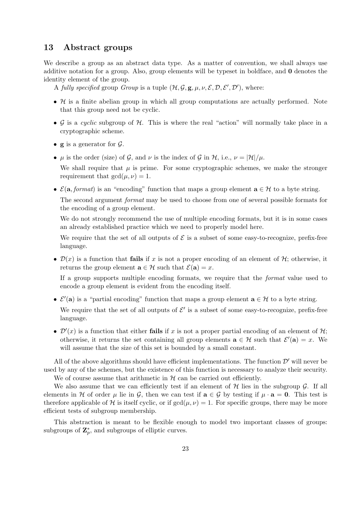## 13 Abstract groups

We describe a group as an abstract data type. As a matter of convention, we shall always use additive notation for a group. Also, group elements will be typeset in boldface, and 0 denotes the identity element of the group.

A fully specified group Group is a tuple  $(\mathcal{H}, \mathcal{G}, \mathbf{g}, \mu, \nu, \mathcal{E}, \mathcal{D}, \mathcal{E}', \mathcal{D}')$ , where:

- $\mathcal H$  is a finite abelian group in which all group computations are actually performed. Note that this group need not be cyclic.
- $G$  is a cyclic subgroup of  $H$ . This is where the real "action" will normally take place in a cryptographic scheme.
- **g** is a generator for  $\mathcal{G}$ .
- $\mu$  is the order (size) of G, and  $\nu$  is the index of G in H, i.e.,  $\nu = |\mathcal{H}|/\mu$ .

We shall require that  $\mu$  is prime. For some cryptographic schemes, we make the stronger requirement that  $gcd(\mu, \nu) = 1$ .

•  $\mathcal{E}(\mathbf{a}, format)$  is an "encoding" function that maps a group element  $\mathbf{a} \in \mathcal{H}$  to a byte string. The second argument format may be used to choose from one of several possible formats for the encoding of a group element.

We do not strongly recommend the use of multiple encoding formats, but it is in some cases an already established practice which we need to properly model here.

We require that the set of all outputs of  $\mathcal E$  is a subset of some easy-to-recognize, prefix-free language.

•  $\mathcal{D}(x)$  is a function that **fails** if x is not a proper encoding of an element of H; otherwise, it returns the group element  $\mathbf{a} \in \mathcal{H}$  such that  $\mathcal{E}(\mathbf{a}) = x$ .

If a group supports multiple encoding formats, we require that the format value used to encode a group element is evident from the encoding itself.

- $\mathcal{E}'(\mathbf{a})$  is a "partial encoding" function that maps a group element  $\mathbf{a} \in \mathcal{H}$  to a byte string. We require that the set of all outputs of  $\mathcal{E}'$  is a subset of some easy-to-recognize, prefix-free language.
- $\mathcal{D}'(x)$  is a function that either fails if x is not a proper partial encoding of an element of H; otherwise, it returns the set containing all group elements  $\mathbf{a} \in \mathcal{H}$  such that  $\mathcal{E}'(\mathbf{a}) = x$ . We will assume that the size of this set is bounded by a small constant.

All of the above algorithms should have efficient implementations. The function  $\mathcal{D}'$  will never be used by any of the schemes, but the existence of this function is necessary to analyze their security. We of course assume that arithmetic in  $H$  can be carried out efficiently.

We also assume that we can efficiently test if an element of  $H$  lies in the subgroup  $G$ . If all elements in H of order  $\mu$  lie in G, then we can test if  $\mathbf{a} \in \mathcal{G}$  by testing if  $\mu \cdot \mathbf{a} = \mathbf{0}$ . This test is therefore applicable of H is itself cyclic, or if  $gcd(\mu, \nu) = 1$ . For specific groups, there may be more efficient tests of subgroup membership.

This abstraction is meant to be flexible enough to model two important classes of groups: subgroups of  $\mathbf{Z}_n^*$ p , and subgroups of elliptic curves.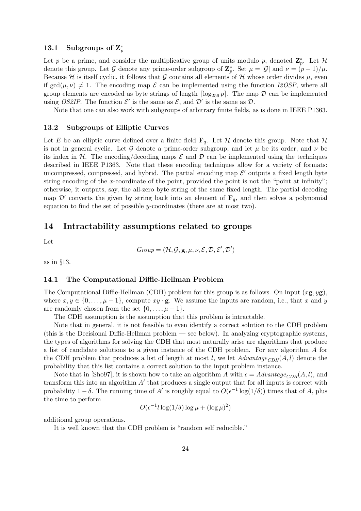## 13.1 Subgroups of  $\mathbf{Z}_p^*$

Let p be a prime, and consider the multiplicative group of units modulo p, denoted  $\mathbf{Z}_n^*$  $_{p}^{*}$ . Let  $\mathcal{H}$ denote this group. Let G denote any prime-order subgroup of  $\mathbf{Z}_n^*$ \*, Set  $\mu = |\mathcal{G}|$  and  $\nu = (p-1)/\mu$ . Because H is itself cyclic, it follows that G contains all elements of H whose order divides  $\mu$ , even if  $gcd(\mu, \nu) \neq 1$ . The encoding map  $\mathcal E$  can be implemented using the function I2OSP, where all group elements are encoded as byte strings of length  $\lceil \log_{256} p \rceil$ . The map  $\mathcal D$  can be implemented using OS2IP. The function  $\mathcal{E}'$  is the same as  $\mathcal{E}$ , and  $\mathcal{D}'$  is the same as  $\mathcal{D}$ .

Note that one can also work with subgroups of arbitrary finite fields, as is done in IEEE P1363.

#### 13.2 Subgroups of Elliptic Curves

Let E be an elliptic curve defined over a finite field  $\mathbf{F}_q$ . Let H denote this group. Note that H is not in general cyclic. Let G denote a prime-order subgroup, and let  $\mu$  be its order, and  $\nu$  be its index in H. The encoding/decoding maps  $\mathcal E$  and  $\mathcal D$  can be implemented using the techniques described in IEEE P1363. Note that these encoding techniques allow for a variety of formats: uncompressed, compressed, and hybrid. The partial encoding map  $\mathcal{E}'$  outputs a fixed length byte string encoding of the x-coordinate of the point, provided the point is not the "point at infinity"; otherwise, it outputs, say, the all-zero byte string of the same fixed length. The partial decoding map  $\mathcal{D}'$  converts the given by string back into an element of  $\mathbf{F}_q$ , and then solves a polynomial equation to find the set of possible y-coordinates (there are at most two).

## 14 Intractability assumptions related to groups

Let

$$
Group=(\mathcal{H},\mathcal{G},\mathbf{g},\mu,\nu,\mathcal{E},\mathcal{D},\mathcal{E}',\mathcal{D}')
$$

as in §13.

#### 14.1 The Computational Diffie-Hellman Problem

The Computational Diffie-Hellman (CDH) problem for this group is as follows. On input  $(xg, yg)$ , where  $x, y \in \{0, \ldots, \mu-1\}$ , compute  $xy \cdot g$ . We assume the inputs are random, i.e., that x and y are randomly chosen from the set  $\{0, \ldots, \mu-1\}.$ 

The CDH assumption is the assumption that this problem is intractable.

Note that in general, it is not feasible to even identify a correct solution to the CDH problem (this is the Decisional Diffie-Hellman problem — see below). In analyzing cryptographic systems, the types of algorithms for solving the CDH that most naturally arise are algorithms that produce a list of candidate solutions to a given instance of the CDH problem. For any algorithm A for the CDH problem that produces a list of length at most l, we let  $Advantage_{CDH}(A, l)$  denote the probability that this list contains a correct solution to the input problem instance.

Note that in [Sho97], it is shown how to take an algorithm A with  $\epsilon = Advantage_{CDH}(A, l)$ , and transform this into an algorithm  $A'$  that produces a single output that for all inputs is correct with probability  $1-\delta$ . The running time of A' is roughly equal to  $O(\epsilon^{-1} \log(1/\delta))$  times that of A, plus the time to perform

$$
O(\epsilon^{-1}l\log(1/\delta)\log\mu + (\log\mu)^2)
$$

additional group operations.

It is well known that the CDH problem is "random self reducible."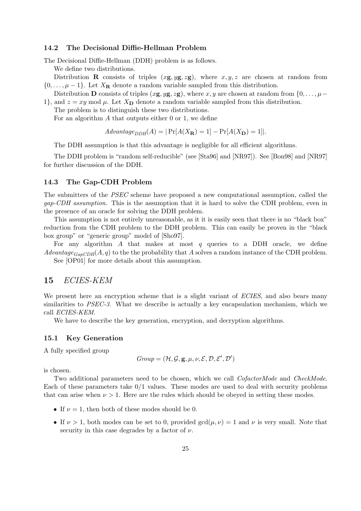#### 14.2 The Decisional Diffie-Hellman Problem

The Decisional Diffie-Hellman (DDH) problem is as follows.

We define two distributions.

Distribution **R** consists of triples  $(xg, yg, zg)$ , where  $x, y, z$  are chosen at random from  $\{0, \ldots, \mu-1\}$ . Let  $X_{\mathbf{R}}$  denote a random variable sampled from this distribution.

Distribution **D** consists of triples (x**g**, y**g**, z**g**), where x, y are chosen at random from  $\{0, \ldots, \mu-\}$ 1, and  $z = xy \mod \mu$ . Let  $X_{\mathbf{D}}$  denote a random variable sampled from this distribution.

The problem is to distinguish these two distributions.

For an algorithm  $A$  that outputs either 0 or 1, we define

$$
Advantage_{DDH}(A) = |\Pr[A(X_{\mathbf{R}}) = 1] - \Pr[A(X_{\mathbf{D}}) = 1]|.
$$

The DDH assumption is that this advantage is negligible for all efficient algorithms.

The DDH problem is "random self-reducible" (see [Sta96] and [NR97]). See [Bon98] and [NR97] for further discussion of the DDH.

#### 14.3 The Gap-CDH Problem

The submitters of the PSEC scheme have proposed a new computational assumption, called the gap-CDH assumption. This is the assumption that it is hard to solve the CDH problem, even in the presence of an oracle for solving the DDH problem.

This assumption is not entirely unreasonable, as it it is easily seen that there is no "black box" reduction from the CDH problem to the DDH problem. This can easily be proven in the "black box group" or "generic group" model of [Sho97].

For any algorithm  $A$  that makes at most  $q$  queries to a DDH oracle, we define  $Advantage_{GapCDH}(A, q)$  to the the probability that A solves a random instance of the CDH problem. See [OP01] for more details about this assumption.

## 15 ECIES-KEM

We present here an encryption scheme that is a slight variant of ECIES, and also bears many similarities to PSEC-3. What we describe is actually a key encapsulation mechanism, which we call ECIES-KEM.

We have to describe the key generation, encryption, and decryption algorithms.

#### 15.1 Key Generation

A fully specified group

$$
Group=(\mathcal{H},\mathcal{G},\mathbf{g},\mu,\nu,\mathcal{E},\mathcal{D},\mathcal{E}',\mathcal{D}')
$$

is chosen.

Two additional parameters need to be chosen, which we call *CofactorMode* and *CheckMode*. Each of these parameters take  $0/1$  values. These modes are used to deal with security problems that can arise when  $\nu > 1$ . Here are the rules which should be obeyed in setting these modes.

- If  $\nu = 1$ , then both of these modes should be 0.
- If  $\nu > 1$ , both modes can be set to 0, provided  $gcd(\mu, \nu) = 1$  and  $\nu$  is very small. Note that security in this case degrades by a factor of  $\nu$ .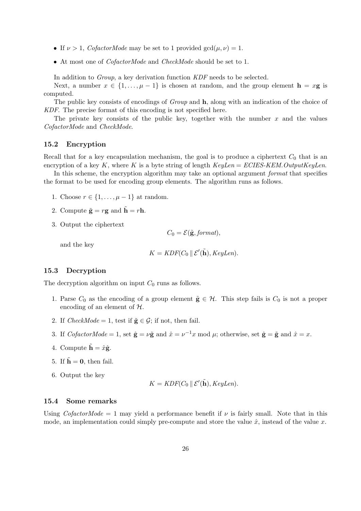- If  $\nu > 1$ , CofactorMode may be set to 1 provided  $gcd(\mu, \nu) = 1$ .
- At most one of CofactorMode and CheckMode should be set to 1.

In addition to Group, a key derivation function KDF needs to be selected.

Next, a number  $x \in \{1, \ldots, \mu - 1\}$  is chosen at random, and the group element  $\mathbf{h} = x\mathbf{g}$  is computed.

The public key consists of encodings of *Group* and **h**, along with an indication of the choice of KDF. The precise format of this encoding is not specified here.

The private key consists of the public key, together with the number  $x$  and the values CofactorMode and CheckMode.

#### 15.2 Encryption

Recall that for a key encapsulation mechanism, the goal is to produce a ciphertext  $C_0$  that is an encryption of a key K, where K is a byte string of length  $KeyLen = ECIES-KEM. OutputKeyLen.$ 

In this scheme, the encryption algorithm may take an optional argument *format* that specifies the format to be used for encoding group elements. The algorithm runs as follows.

- 1. Choose  $r \in \{1, \ldots, \mu-1\}$  at random.
- 2. Compute  $\tilde{\mathbf{g}} = r\mathbf{g}$  and  $\tilde{\mathbf{h}} = r\mathbf{h}$ .
- 3. Output the ciphertext

$$
C_0 = \mathcal{E}(\tilde{\mathbf{g}}, format),
$$

and the key

$$
K = KDF(C_0 \, \|\, \mathcal{E}'(\tilde{\mathbf{h}}), KeyLen)
$$

#### 15.3 Decryption

The decryption algorithm on input  $C_0$  runs as follows.

- 1. Parse  $C_0$  as the encoding of a group element  $\tilde{\mathbf{g}} \in \mathcal{H}$ . This step fails is  $C_0$  is not a proper encoding of an element of  $H$ .
- 2. If  $CheckMode = 1$ , test if  $\tilde{\mathbf{g}} \in \mathcal{G}$ ; if not, then fail.
- 3. If  $CofactorMode = 1$ , set  $\hat{\mathbf{g}} = \nu \tilde{\mathbf{g}}$  and  $\hat{x} = \nu^{-1}x \mod \mu$ ; otherwise, set  $\hat{\mathbf{g}} = \tilde{\mathbf{g}}$  and  $\hat{x} = x$ .
- 4. Compute  $\mathbf{h} = \hat{x}\hat{g}$ .
- 5. If  $\tilde{\mathbf{h}} = \mathbf{0}$ , then fail.
- 6. Output the key

$$
K = KDF(C_0 \, || \, \mathcal{E}'(\tilde{\mathbf{h}}), KeyLen).
$$

#### 15.4 Some remarks

Using CofactorMode = 1 may yield a performance benefit if  $\nu$  is fairly small. Note that in this mode, an implementation could simply pre-compute and store the value  $\hat{x}$ , instead of the value x.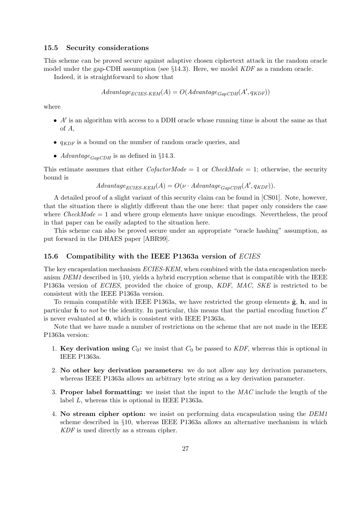#### 15.5 Security considerations

This scheme can be proved secure against adaptive chosen ciphertext attack in the random oracle model under the gap-CDH assumption (see  $\S14.3$ ). Here, we model  $KDF$  as a random oracle.

Indeed, it is straightforward to show that

 $Advantage_{ECIES-KEM}(A) = O(Advantage_{GapCDH}(A', q_{KDF}))$ 

where

- $\bullet$  A' is an algorithm with access to a DDH oracle whose running time is about the same as that of A,
- $\bullet$   $q_{KDF}$  is a bound on the number of random oracle queries, and
- Advantage<sub>GanCDH</sub> is as defined in §14.3.

This estimate assumes that either  $CofactorMode = 1$  or  $CheckMode = 1$ ; otherwise, the security bound is

 $Advantage_{ECIES-KEM}(A) = O(\nu \cdot Advanced_{GapCDH}(A', q_{KDF})).$ 

A detailed proof of a slight variant of this security claim can be found in [CS01]. Note, however, that the situation there is slightly different than the one here: that paper only considers the case where  $CheckMode = 1$  and where group elements have unique encodings. Nevertheless, the proof in that paper can be easily adapted to the situation here.

This scheme can also be proved secure under an appropriate "oracle hashing" assumption, as put forward in the DHAES paper [ABR99].

#### 15.6 Compatibility with the IEEE P1363a version of ECIES

The key encapsulation mechanism  $ECIES$ -KEM, when combined with the data encapsulation mechanism DEM1 described in §10, yields a hybrid encryption scheme that is compatible with the IEEE P1363a version of ECIES, provided the choice of group, KDF, MAC, SKE is restricted to be consistent with the IEEE P1363a version.

To remain compatible with IEEE P1363a, we have restricted the group elements  $\tilde{\mathbf{g}}$ , h, and in particular  $\tilde{\mathbf{h}}$  to not be the identity. In particular, this means that the partial encoding function  $\mathcal{E}'$ is never evaluated at 0, which is consistent with IEEE P1363a.

Note that we have made a number of restrictions on the scheme that are not made in the IEEE P1363a version:

- 1. Key derivation using  $C_0$ : we insist that  $C_0$  be passed to KDF, whereas this is optional in IEEE P1363a.
- 2. No other key derivation parameters: we do not allow any key derivation parameters, whereas IEEE P1363a allows an arbitrary byte string as a key derivation parameter.
- 3. Proper label formatting: we insist that the input to the  $MAC$  include the length of the label L, whereas this is optional in IEEE P1363a.
- 4. No stream cipher option: we insist on performing data encapsulation using the DEM1 scheme described in §10, whereas IEEE P1363a allows an alternative mechanism in which KDF is used directly as a stream cipher.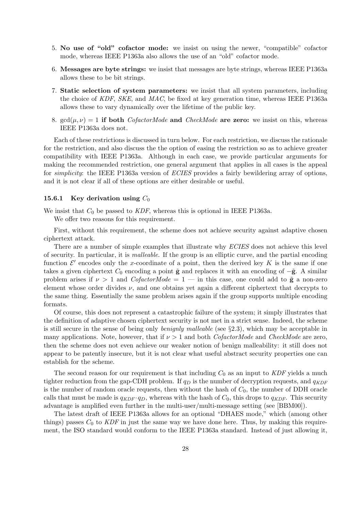- 5. No use of "old" cofactor mode: we insist on using the newer, "compatible" cofactor mode, whereas IEEE P1363a also allows the use of an "old" cofactor mode.
- 6. Messages are byte strings: we insist that messages are byte strings, whereas IEEE P1363a allows these to be bit strings.
- 7. Static selection of system parameters: we insist that all system parameters, including the choice of KDF, SKE, and MAC, be fixed at key generation time, whereas IEEE P1363a allows these to vary dynamically over the lifetime of the public key.
- 8. gcd $(\mu, \nu) = 1$  if both *CofactorMode* and *CheckMode* are zero: we insist on this, whereas IEEE P1363a does not.

Each of these restrictions is discussed in turn below. For each restriction, we discuss the rationale for the restriction, and also discuss the the option of easing the restriction so as to achieve greater compatibility with IEEE P1363a. Although in each case, we provide particular arguments for making the recommended restriction, one general argument that applies in all cases is the appeal for *simplicity*: the IEEE P1363a version of *ECIES* provides a fairly bewildering array of options, and it is not clear if all of these options are either desirable or useful.

#### 15.6.1 Key derivation using  $C_0$

We insist that  $C_0$  be passed to KDF, whereas this is optional in IEEE P1363a.

We offer two reasons for this requirement.

First, without this requirement, the scheme does not achieve security against adaptive chosen ciphertext attack.

There are a number of simple examples that illustrate why ECIES does not achieve this level of security. In particular, it is malleable. If the group is an elliptic curve, and the partial encoding function  $\mathcal{E}'$  encodes only the x-coordinate of a point, then the derived key K is the same if one takes a given ciphertext  $C_0$  encoding a point  $\tilde{g}$  and replaces it with an encoding of  $-\tilde{g}$ . A similar problem arises if  $\nu > 1$  and  $CofactorMode = 1$  — in this case, one could add to  $\tilde{g}$  a non-zero element whose order divides  $\nu$ , and one obtains yet again a different ciphertext that decrypts to the same thing. Essentially the same problem arises again if the group supports multiple encoding formats.

Of course, this does not represent a catastrophic failure of the system; it simply illustrates that the definition of adaptive chosen ciphertext security is not met in a strict sense. Indeed, the scheme is still secure in the sense of being only benignly malleable (see §2.3), which may be acceptable in many applications. Note, however, that if  $\nu > 1$  and both *CofactorMode* and *CheckMode* are zero, then the scheme does not even achieve our weaker notion of benign malleability: it still does not appear to be patently insecure, but it is not clear what useful abstract security properties one can establish for the scheme.

The second reason for our requirement is that including  $C_0$  as an input to KDF yields a much tighter reduction from the gap-CDH problem. If  $q_D$  is the number of decryption requests, and  $q_{KDF}$ is the number of random oracle requests, then without the hash of  $C_0$ , the number of DDH oracle calls that must be made is  $q_{KDF} \cdot q_D$ , whereas with the hash of  $C_0$ , this drops to  $q_{KDF}$ . This security advantage is amplified even further in the multi-user/multi-message setting (see [BBM00]).

The latest draft of IEEE P1363a allows for an optional "DHAES mode," which (among other things) passes  $C_0$  to KDF in just the same way we have done here. Thus, by making this requirement, the ISO standard would conform to the IEEE P1363a standard. Instead of just allowing it,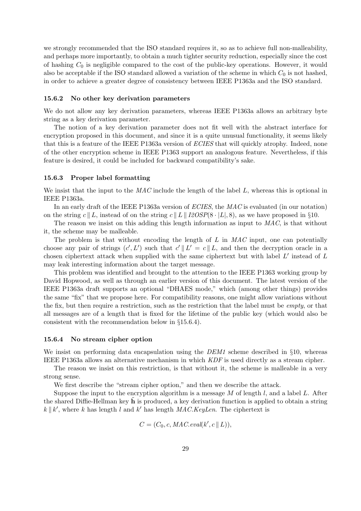we strongly recommended that the ISO standard requires it, so as to achieve full non-malleability, and perhaps more importantly, to obtain a much tighter security reduction, especially since the cost of hashing  $C_0$  is negligible compared to the cost of the public-key operations. However, it would also be acceptable if the ISO standard allowed a variation of the scheme in which  $C_0$  is not hashed, in order to achieve a greater degree of consistency between IEEE P1363a and the ISO standard.

#### 15.6.2 No other key derivation parameters

We do not allow any key derivation parameters, whereas IEEE P1363a allows an arbitrary byte string as a key derivation parameter.

The notion of a key derivation parameter does not fit well with the abstract interface for encryption proposed in this document, and since it is a quite unusual functionality, it seems likely that this is a feature of the IEEE P1363a version of ECIES that will quickly atrophy. Indeed, none of the other encryption scheme in IEEE P1363 support an analogous feature. Nevertheless, if this feature is desired, it could be included for backward compatibility's sake.

#### 15.6.3 Proper label formatting

We insist that the input to the  $MAC$  include the length of the label L, whereas this is optional in IEEE P1363a.

In an early draft of the IEEE P1363a version of ECIES, the MAC is evaluated (in our notation) on the string  $c \parallel L$ , instead of on the string  $c \parallel L \parallel I2OSP(8 \cdot |L|, 8)$ , as we have proposed in §10.

The reason we insist on this adding this length information as input to  $MAC$ , is that without it, the scheme may be malleable.

The problem is that without encoding the length of  $L$  in  $MAC$  input, one can potentially choose any pair of strings  $(c', L')$  such that  $c' || L' = c || L$ , and then the decryption oracle in a chosen ciphertext attack when supplied with the same ciphertext but with label  $L'$  instead of  $L$ may leak interesting information about the target message.

This problem was identified and brought to the attention to the IEEE P1363 working group by David Hopwood, as well as through an earlier version of this document. The latest version of the IEEE P1363a draft supports an optional "DHAES mode," which (among other things) provides the same "fix" that we propose here. For compatibility reasons, one might allow variations without the fix, but then require a restriction, such as the restriction that the label must be empty, or that all messages are of a length that is fixed for the lifetime of the public key (which would also be consistent with the recommendation below in §15.6.4).

#### 15.6.4 No stream cipher option

We insist on performing data encapsulation using the  $DEM1$  scheme described in §10, whereas IEEE P1363a allows an alternative mechanism in which KDF is used directly as a stream cipher.

The reason we insist on this restriction, is that without it, the scheme is malleable in a very strong sense.

We first describe the "stream cipher option," and then we describe the attack.

Suppose the input to the encryption algorithm is a message  $M$  of length  $l$ , and a label  $L$ . After the shared Diffie-Hellman key  **is produced, a key derivation function is applied to obtain a string**  $k \parallel k'$ , where k has length l and k' has length MAC.KeyLen. The ciphertext is

$$
C = (C_0, c, MAC. eval(k', c \parallel L)),
$$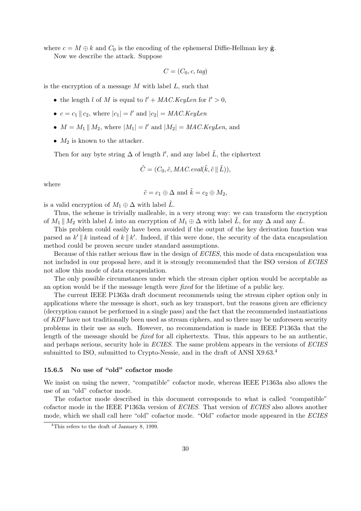where  $c = M \oplus k$  and  $C_0$  is the encoding of the ephemeral Diffie-Hellman key  $\tilde{g}$ .

Now we describe the attack. Suppose

$$
C = (C_0, c, tag)
$$

is the encryption of a message  $M$  with label  $L$ , such that

- the length *l* of *M* is equal to  $l' + MAC. KeyLen$  for  $l' > 0$ ,
- $c = c_1 || c_2$ , where  $|c_1| = l'$  and  $|c_2| = MAC. KeyLen$
- $M = M_1 || M_2$ , where  $|M_1| = l'$  and  $|M_2| = MAC. KeyLen$ , and
- $M_2$  is known to the attacker.

Then for any byte string  $\Delta$  of length  $l'$ , and any label  $\tilde{L}$ , the ciphertext

$$
\tilde{C} = (C_0, \tilde{c}, MAC.\text{eval}(\tilde{k}, \tilde{c} \parallel \tilde{L})),
$$

where

$$
\tilde{c} = c_1 \oplus \Delta \text{ and } \tilde{k} = c_2 \oplus M_2,
$$

is a valid encryption of  $M_1 \oplus \Delta$  with label  $\tilde{L}$ .

Thus, the scheme is trivially malleable, in a very strong way: we can transform the encryption of  $M_1 \parallel M_2$  with label L into an encryption of  $M_1 \oplus \Delta$  with label L, for any  $\Delta$  and any L.

This problem could easily have been avoided if the output of the key derivation function was parsed as  $k' \parallel k$  instead of  $k \parallel k'$ . Indeed, if this were done, the security of the data encapsulation method could be proven secure under standard assumptions.

Because of this rather serious flaw in the design of ECIES, this mode of data encapsulation was not included in our proposal here, and it is strongly recommended that the ISO version of ECIES not allow this mode of data encapsulation.

The only possible circumstances under which the stream cipher option would be acceptable as an option would be if the message length were fixed for the lifetime of a public key.

The current IEEE P1363a draft document recommends using the stream cipher option only in applications where the message is short, such as key transport, but the reasons given are efficiency (decryption cannot be performed in a single pass) and the fact that the recommended instantiations of KDF have not traditionally been used as stream ciphers, and so there may be unforeseen security problems in their use as such. However, no recommendation is made in IEEE P1363a that the length of the message should be fixed for all ciphertexts. Thus, this appears to be an authentic, and perhaps serious, security hole in ECIES. The same problem appears in the versions of ECIES submitted to ISO, submitted to Crypto-Nessie, and in the draft of ANSI X9.63.<sup>4</sup>

#### 15.6.5 No use of "old" cofactor mode

We insist on using the newer, "compatible" cofactor mode, whereas IEEE P1363a also allows the use of an "old" cofactor mode.

The cofactor mode described in this document corresponds to what is called "compatible" cofactor mode in the IEEE P1363a version of ECIES. That version of ECIES also allows another mode, which we shall call here "old" cofactor mode. "Old" cofactor mode appeared in the ECIES

<sup>&</sup>lt;sup>4</sup>This refers to the draft of January 8, 1999.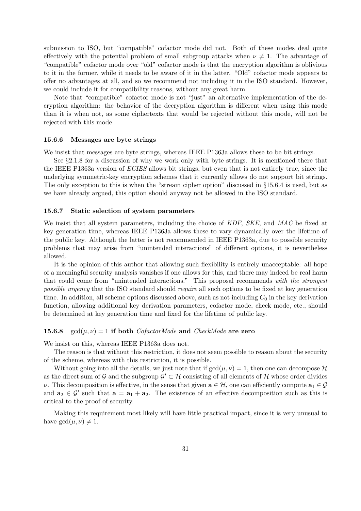submission to ISO, but "compatible" cofactor mode did not. Both of these modes deal quite effectively with the potential problem of small subgroup attacks when  $\nu \neq 1$ . The advantage of "compatible" cofactor mode over "old" cofactor mode is that the encryption algorithm is oblivious to it in the former, while it needs to be aware of it in the latter. "Old" cofactor mode appears to offer no advantages at all, and so we recommend not including it in the ISO standard. However, we could include it for compatibility reasons, without any great harm.

Note that "compatible" cofactor mode is not "just" an alternative implementation of the decryption algorithm: the behavior of the decryption algorithm is different when using this mode than it is when not, as some ciphertexts that would be rejected without this mode, will not be rejected with this mode.

#### 15.6.6 Messages are byte strings

We insist that messages are byte strings, whereas IEEE P1363a allows these to be bit strings.

See  $\S2.1.8$  for a discussion of why we work only with byte strings. It is mentioned there that the IEEE P1363a version of ECIES allows bit strings, but even that is not entirely true, since the underlying symmetric-key encryption schemes that it currently allows do not support bit strings. The only exception to this is when the "stream cipher option" discussed in §15.6.4 is used, but as we have already argued, this option should anyway not be allowed in the ISO standard.

#### 15.6.7 Static selection of system parameters

We insist that all system parameters, including the choice of KDF, SKE, and MAC be fixed at key generation time, whereas IEEE P1363a allows these to vary dynamically over the lifetime of the public key. Although the latter is not recommended in IEEE P1363a, due to possible security problems that may arise from "unintended interactions" of different options, it is nevertheless allowed.

It is the opinion of this author that allowing such flexibility is entirely unacceptable: all hope of a meaningful security analysis vanishes if one allows for this, and there may indeed be real harm that could come from "unintended interactions." This proposal recommends with the strongest possible urgency that the ISO standard should require all such options to be fixed at key generation time. In addition, all scheme options discussed above, such as not including  $C_0$  in the key derivation function, allowing additional key derivation parameters, cofactor mode, check mode, etc., should be determined at key generation time and fixed for the lifetime of public key.

#### 15.6.8 gcd( $\mu, \nu$ ) = 1 if both *CofactorMode* and *CheckMode* are zero

We insist on this, whereas IEEE P1363a does not.

The reason is that without this restriction, it does not seem possible to reason about the security of the scheme, whereas with this restriction, it is possible.

Without going into all the details, we just note that if  $gcd(\mu, \nu) = 1$ , then one can decompose H as the direct sum of G and the subgroup  $\mathcal{G}' \subset \mathcal{H}$  consisting of all elements of  $\mathcal H$  whose order divides v. This decomposition is effective, in the sense that given  $\mathbf{a} \in \mathcal{H}$ , one can efficiently compute  $\mathbf{a}_1 \in \mathcal{G}$ and  $\mathbf{a}_2 \in \mathcal{G}'$  such that  $\mathbf{a} = \mathbf{a}_1 + \mathbf{a}_2$ . The existence of an effective decomposition such as this is critical to the proof of security.

Making this requirement most likely will have little practical impact, since it is very unusual to have  $gcd(\mu, \nu) \neq 1$ .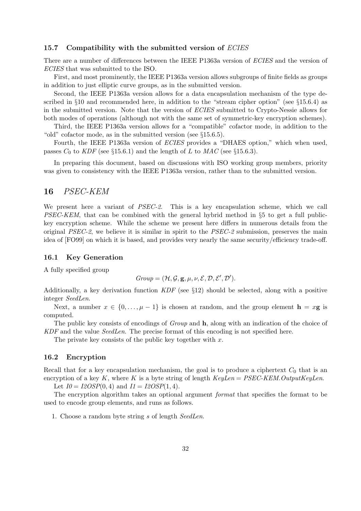#### 15.7 Compatibility with the submitted version of ECIES

There are a number of differences between the IEEE P1363a version of ECIES and the version of ECIES that was submitted to the ISO.

First, and most prominently, the IEEE P1363a version allows subgroups of finite fields as groups in addition to just elliptic curve groups, as in the submitted version.

Second, the IEEE P1363a version allows for a data encapsulation mechanism of the type described in §10 and recommended here, in addition to the "stream cipher option" (see §15.6.4) as in the submitted version. Note that the version of ECIES submitted to Crypto-Nessie allows for both modes of operations (although not with the same set of symmetric-key encryption schemes).

Third, the IEEE P1363a version allows for a "compatible" cofactor mode, in addition to the "old" cofactor mode, as in the submitted version (see  $\S 15.6.5$ ).

Fourth, the IEEE P1363a version of ECIES provides a "DHAES option," which when used, passes  $C_0$  to  $KDF$  (see §15.6.1) and the length of L to  $MAC$  (see §15.6.3).

In preparing this document, based on discussions with ISO working group members, priority was given to consistency with the IEEE P1363a version, rather than to the submitted version.

## 16 PSEC-KEM

We present here a variant of PSEC-2. This is a key encapsulation scheme, which we call PSEC-KEM, that can be combined with the general hybrid method in §5 to get a full publickey encryption scheme. While the scheme we present here differs in numerous details from the original  $PSEC-2$ , we believe it is similar in spirit to the  $PSEC-2$  submission, preserves the main idea of [FO99] on which it is based, and provides very nearly the same security/efficiency trade-off.

#### 16.1 Key Generation

A fully specified group

$$
Group=(\mathcal{H},\mathcal{G},\mathbf{g},\mu,\nu,\mathcal{E},\mathcal{D},\mathcal{E}',\mathcal{D}').
$$

Additionally, a key derivation function KDF (see §12) should be selected, along with a positive integer SeedLen.

Next, a number  $x \in \{0, \ldots, \mu - 1\}$  is chosen at random, and the group element  $\mathbf{h} = x\mathbf{g}$  is computed.

The public key consists of encodings of *Group* and **h**, along with an indication of the choice of KDF and the value SeedLen. The precise format of this encoding is not specified here.

The private key consists of the public key together with  $x$ .

#### 16.2 Encryption

Recall that for a key encapsulation mechanism, the goal is to produce a ciphertext  $C_0$  that is an encryption of a key K, where K is a byte string of length  $KeyLen = PSEC-KEM. OutputKeyLen.$ 

Let  $I0 = I2OSP(0, 4)$  and  $I1 = I2OSP(1, 4)$ .

The encryption algorithm takes an optional argument format that specifies the format to be used to encode group elements, and runs as follows.

1. Choose a random byte string s of length SeedLen.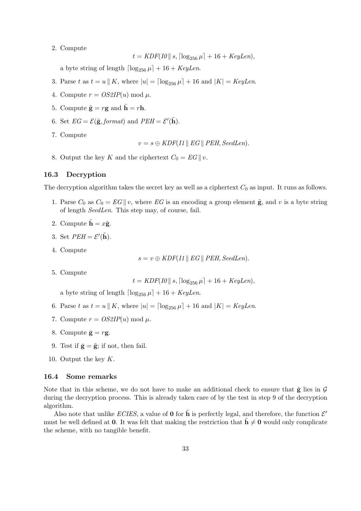2. Compute

$$
t = KDF(I0 \parallel s, \lceil \log_{256} \mu \rceil + 16 + KeyLen),
$$

a byte string of length  $\lceil \log_{256} \mu \rceil + 16 + KeyLen.$ 

- 3. Parse t as  $t = u \, || K$ , where  $|u| = \lceil \log_{256} \mu \rceil + 16$  and  $|K| = KeyLen$ .
- 4. Compute  $r = OS2IP(u) \mod \mu$ .
- 5. Compute  $\tilde{\mathbf{g}} = r\mathbf{g}$  and  $\tilde{\mathbf{h}} = r\mathbf{h}$ .
- 6. Set  $EG = \mathcal{E}(\tilde{\mathbf{g}}, format)$  and  $PEH = \mathcal{E}'(\tilde{\mathbf{h}})$ .
- 7. Compute

$$
v = s \oplus \text{KDF}(I1 \parallel \text{EG} \parallel \text{PEH}, \text{SeedLen}).
$$

8. Output the key K and the ciphertext  $C_0 = EG \parallel v$ .

#### 16.3 Decryption

The decryption algorithm takes the secret key as well as a ciphertext  $C_0$  as input. It runs as follows.

- 1. Parse  $C_0$  as  $C_0 = EG \parallel v$ , where EG is an encoding a group element  $\tilde{g}$ , and v is a byte string of length SeedLen. This step may, of course, fail.
- 2. Compute  $\tilde{\mathbf{h}} = x\tilde{\mathbf{g}}$ .
- 3. Set  $PEH = \mathcal{E}'(\tilde{\mathbf{h}})$ .
- 4. Compute

 $s = v \oplus KDF(11 \parallel EG \parallel PEH, SeedLen).$ 

5. Compute

 $t = KDF(I0 || s, \lceil \log_{256} \mu \rceil + 16 + KeyLen),$ 

a byte string of length  $\lceil \log_{256} \mu \rceil + 16 + KeyLen.$ 

- 6. Parse t as  $t = u \, || K$ , where  $|u| = \lceil \log_{256} \mu \rceil + 16$  and  $|K| = KeyLen$ .
- 7. Compute  $r = OS2IP(u) \mod \mu$ .
- 8. Compute  $\bar{\mathbf{g}} = r\mathbf{g}$ .
- 9. Test if  $\bar{\mathbf{g}} = \tilde{\mathbf{g}}$ ; if not, then fail.
- 10. Output the key  $K$ .

#### 16.4 Some remarks

Note that in this scheme, we do not have to make an additional check to ensure that  $\tilde{g}$  lies in  $\mathcal{G}$ during the decryption process. This is already taken care of by the test in step 9 of the decryption algorithm.

Also note that unlike ECIES, a value of **0** for  $\tilde{\mathbf{h}}$  is perfectly legal, and therefore, the function  $\mathcal{E}'$ must be well defined at 0. It was felt that making the restriction that  $h \neq 0$  would only complicate the scheme, with no tangible benefit.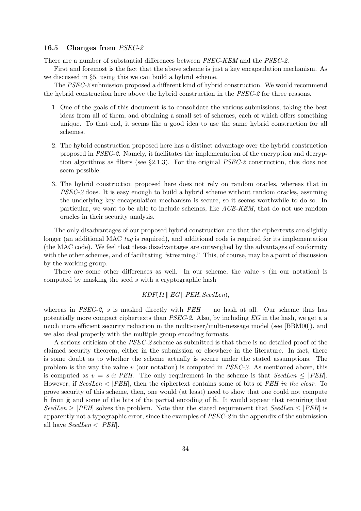#### 16.5 Changes from PSEC-2

There are a number of substantial differences between *PSEC-KEM* and the *PSEC-2*.

First and foremost is the fact that the above scheme is just a key encapsulation mechanism. As we discussed in §5, using this we can build a hybrid scheme.

The PSEC-2 submission proposed a different kind of hybrid construction. We would recommend the hybrid construction here above the hybrid construction in the PSEC-2 for three reasons.

- 1. One of the goals of this document is to consolidate the various submissions, taking the best ideas from all of them, and obtaining a small set of schemes, each of which offers something unique. To that end, it seems like a good idea to use the same hybrid construction for all schemes.
- 2. The hybrid construction proposed here has a distinct advantage over the hybrid construction proposed in PSEC-2. Namely, it facilitates the implementation of the encryption and decryption algorithms as filters (see §2.1.3). For the original PSEC-2 construction, this does not seem possible.
- 3. The hybrid construction proposed here does not rely on random oracles, whereas that in PSEC-2 does. It is easy enough to build a hybrid scheme without random oracles, assuming the underlying key encapsulation mechanism is secure, so it seems worthwhile to do so. In particular, we want to be able to include schemes, like ACE-KEM, that do not use random oracles in their security analysis.

The only disadvantages of our proposed hybrid construction are that the ciphertexts are slightly longer (an additional MAC tag is required), and additional code is required for its implementation (the MAC code). We feel that these disadvantages are outweighed by the advantages of conformity with the other schemes, and of facilitating "streaming." This, of course, may be a point of discussion by the working group.

There are some other differences as well. In our scheme, the value  $v$  (in our notation) is computed by masking the seed s with a cryptographic hash

#### $KDF(11 \parallel EG \parallel PEH, SeedLen),$

whereas in PSEC-2, s is masked directly with  $PEH$  — no hash at all. Our scheme thus has potentially more compact ciphertexts than PSEC-2. Also, by including EG in the hash, we get a a much more efficient security reduction in the multi-user/multi-message model (see [BBM00]), and we also deal properly with the multiple group encoding formats.

A serious criticism of the PSEC-2 scheme as submitted is that there is no detailed proof of the claimed security theorem, either in the submission or elsewhere in the literature. In fact, there is some doubt as to whether the scheme actually is secure under the stated assumptions. The problem is the way the value v (our notation) is computed in  $PSEC-2$ . As mentioned above, this is computed as  $v = s \oplus PEH$ . The only requirement in the scheme is that SeedLen  $\leq$  |PEH|. However, if  $SeedLen < |PEH|$ , then the ciphertext contains some of bits of PEH in the clear. To prove security of this scheme, then, one would (at least) need to show that one could not compute h from  $\tilde{g}$  and some of the bits of the partial encoding of h. It would appear that requiring that  $SeedLen$  > |PEH| solves the problem. Note that the stated requirement that  $SeedLen$  < |PEH| is apparently not a typographic error, since the examples of PSEC-2 in the appendix of the submission all have  $SeedLen$  <  $|PEH|$ .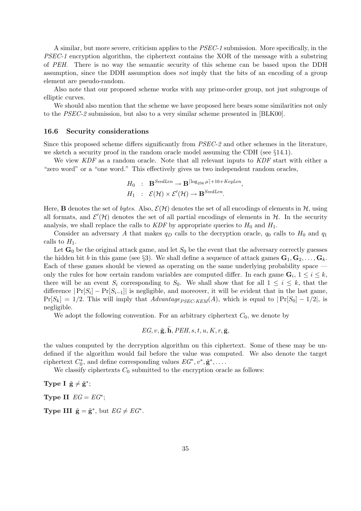A similar, but more severe, criticism applies to the PSEC-1 submission. More specifically, in the PSEC-1 encryption algorithm, the ciphertext contains the XOR of the message with a substring of PEH. There is no way the semantic security of this scheme can be based upon the DDH assumption, since the DDH assumption does not imply that the bits of an encoding of a group element are pseudo-random.

Also note that our proposed scheme works with any prime-order group, not just subgroups of elliptic curves.

We should also mention that the scheme we have proposed here bears some similarities not only to the PSEC-2 submission, but also to a very similar scheme presented in [BLK00].

#### 16.6 Security considerations

Since this proposed scheme differs significantly from PSEC-2 and other schemes in the literature, we sketch a security proof in the random oracle model assuming the CDH (see §14.1).

We view KDF as a random oracle. Note that all relevant inputs to KDF start with either a "zero word" or a "one word." This effectively gives us two independent random oracles,

$$
H_0 : \mathbf{B}^{SeedLen} \to \mathbf{B}^{\lceil \log_{256} \mu \rceil + 16 + KeyLen},
$$
  

$$
H_1 : \mathcal{E}(\mathcal{H}) \times \mathcal{E}'(\mathcal{H}) \to \mathbf{B}^{SeedLen}.
$$

Here, **B** denotes the set of bytes. Also,  $\mathcal{E}(\mathcal{H})$  denotes the set of all encodings of elements in  $\mathcal{H}$ , using all formats, and  $\mathcal{E}'(\mathcal{H})$  denotes the set of all partial encodings of elements in  $\mathcal{H}$ . In the security analysis, we shall replace the calls to  $KDF$  by appropriate queries to  $H_0$  and  $H_1$ .

Consider an adversary A that makes  $q_D$  calls to the decryption oracle,  $q_0$  calls to  $H_0$  and  $q_1$ calls to  $H_1$ .

Let  $\mathbf{G}_0$  be the original attack game, and let  $S_0$  be the event that the adversary correctly guesses the hidden bit b in this game (see §3). We shall define a sequence of attack games  $\mathbf{G}_1, \mathbf{G}_2, \ldots, \mathbf{G}_k$ . Each of these games should be viewed as operating on the same underlying probability space only the rules for how certain random variables are computed differ. In each game  $\mathbf{G}_i$ ,  $1 \leq i \leq k$ , there will be an event  $S_i$  corresponding to  $S_0$ . We shall show that for all  $1 \leq i \leq k$ , that the difference  $|\Pr[S_i] - \Pr[S_{i-1}]|$  is negligible, and moreover, it will be evident that in the last game,  $Pr[S_k] = 1/2$ . This will imply that  $Advanced_{PSEC-KEM}(A)$ , which is equal to  $|Pr[S_0] - 1/2|$ , is negligible.

We adopt the following convention. For an arbitrary ciphertext  $C_0$ , we denote by

$$
EG, v, \tilde{\mathbf{g}}, \tilde{\mathbf{h}}, PEH, s, t, u, K, r, \bar{\mathbf{g}},
$$

the values computed by the decryption algorithm on this ciphertext. Some of these may be undefined if the algorithm would fail before the value was computed. We also denote the target ciphertext  $C_0^*$  $U_0^*$ , and define corresponding values  $EG^*, v^*, \tilde{\mathbf{g}}^*, \ldots$ 

We classify ciphertexts  $C_0$  submitted to the encryption oracle as follows:

Type I  $\tilde{\mathbf{g}} \neq \tilde{\mathbf{g}}^*$ ; Type II  $EG = EG^*$ ; **Type III**  $\tilde{\mathbf{g}} = \tilde{\mathbf{g}}^*$ , but  $EG \neq EG^*$ .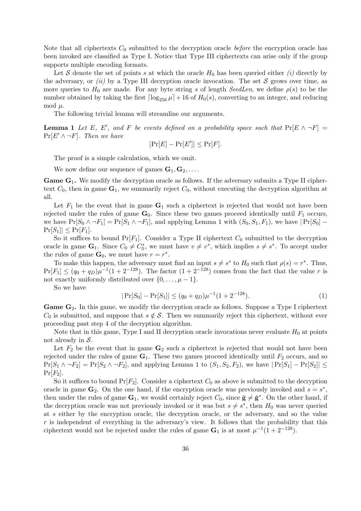Note that all ciphertexts  $C_0$  submitted to the decryption oracle *before* the encryption oracle has been invoked are classified as Type I. Notice that Type III ciphertexts can arise only if the group supports multiple encoding formats.

Let S denote the set of points s at which the oracle  $H_0$  has been queried either *(i)* directly by the adversary, or (ii) by a Type III decryption oracle invocation. The set  $S$  grows over time, as more queries to  $H_0$  are made. For any byte string s of length SeedLen, we define  $\rho(s)$  to be the number obtained by taking the first  $\lceil \log_{256} \mu \rceil + 16$  of  $H_0(s)$ , converting to an integer, and reducing mod  $\mu$ .

The following trivial lemma will streamline our arguments.

**Lemma 1** Let E, E', and F be events defined on a probability space such that  $Pr[E \wedge \neg F] =$  $Pr[E' \wedge \neg F]$ . Then we have

$$
\big\vert \Pr[E] - \Pr[E'] \big\vert \leq \Pr[F].
$$

The proof is a simple calculation, which we omit.

We now define our sequence of games  $\mathbf{G}_1, \mathbf{G}_2, \ldots$ 

Game G<sub>1</sub>. We modify the decryption oracle as follows. If the adversary submits a Type II ciphertext  $C_0$ , then in game  $\mathbf{G}_1$ , we summarily reject  $C_0$ , without executing the decryption algorithm at all.

Let  $F_1$  be the event that in game  $G_1$  such a ciphertext is rejected that would not have been rejected under the rules of game  $\mathbf{G}_0$ . Since these two games proceed identically until  $F_1$  occurs, we have  $Pr[S_0 \land \neg F_1] = Pr[S_1 \land \neg F_1]$ , and applying Lemma 1 with  $(S_0, S_1, F_1)$ , we have  $|Pr[S_0]$  –  $Pr[S_1] \leq Pr[F_1].$ 

So it suffices to bound  $Pr[F_1]$ . Consider a Type II ciphertext  $C_0$  submitted to the decryption oracle in game  $\mathbf{G}_1$ . Since  $C_0 \neq C_0^*$  $v^*$ , we must have  $v \neq v^*$ , which implies  $s \neq s^*$ . To accept under the rules of game  $\mathbf{G}_0$ , we must have  $r = r^*$ .

To make this happen, the adversary must find an input  $s \neq s^*$  to  $H_0$  such that  $\rho(s) = r^*$ . Thus,  $Pr[F_1] \leq (q_0 + q_D)\mu^{-1}(1 + 2^{-128})$ . The factor  $(1 + 2^{-128})$  comes from the fact that the value r is not exactly uniformly distributed over  $\{0, \ldots, \mu-1\}.$ 

So we have

$$
|\Pr[S_0] - \Pr[S_1]| \le (q_0 + q_D)\mu^{-1}(1 + 2^{-128}).\tag{1}
$$

**Game**  $G_2$ **.** In this game, we modify the decryption oracle as follows. Suppose a Type I ciphertext  $C_0$  is submitted, and suppose that  $s \notin \mathcal{S}$ . Then we summarily reject this ciphertext, without ever proceeding past step 4 of the decryption algorithm.

Note that in this game, Type I and II decryption oracle invocations never evaluate  $H_0$  at points not already in  $S$ .

Let  $F_2$  be the event that in game  $G_2$  such a ciphertext is rejected that would not have been rejected under the rules of game  $G_1$ . These two games proceed identically until  $F_2$  occurs, and so  $Pr[S_1 \wedge \neg F_2] = Pr[S_2 \wedge \neg F_2]$ , and applying Lemma 1 to  $(S_1, S_2, F_2)$ , we have  $|Pr[S_1] - Pr[S_2]| \le$  $Pr[F_2]$ .

So it suffices to bound  $Pr[F_2]$ . Consider a ciphertext  $C_0$  as above is submitted to the decryption oracle in game  $\mathbf{G}_2$ . On the one hand, if the encryption oracle was previously invoked and  $s = s^*$ , then under the rules of game  $G_1$ , we would certainly reject  $C_0$ , since  $\tilde{\mathbf{g}} \neq \tilde{\mathbf{g}}^*$ . On the other hand, if the decryption oracle was not previously invoked or it was but  $s \neq s^*$ , then  $H_0$  was never queried at s either by the encryption oracle, the decryption oracle, or the adversary, and so the value  $r$  is independent of everything in the adversary's view. It follows that the probability that this ciphertext would not be rejected under the rules of game  $G_1$  is at most  $\mu^{-1}(1+2^{-128})$ .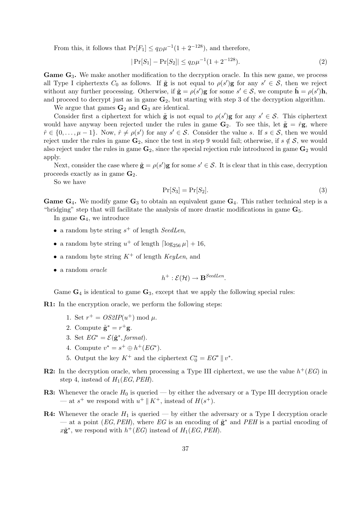From this, it follows that  $Pr[F_1] \le q_D \mu^{-1}(1 + 2^{-128})$ , and therefore,

$$
|\Pr[S_1] - \Pr[S_2]| \le q_D \mu^{-1} (1 + 2^{-128}).\tag{2}
$$

Game G<sub>3</sub>. We make another modification to the decryption oracle. In this new game, we process all Type I ciphertexts  $C_0$  as follows. If  $\tilde{\mathbf{g}}$  is not equal to  $\rho(s')\mathbf{g}$  for any  $s' \in \mathcal{S}$ , then we reject without any further processing. Otherwise, if  $\tilde{\mathbf{g}} = \rho(s')\mathbf{g}$  for some  $s' \in \mathcal{S}$ , we compute  $\tilde{\mathbf{h}} = \rho(s')\mathbf{h}$ , and proceed to decrypt just as in game  $\mathbf{G}_2$ , but starting with step 3 of the decryption algorithm.

We argue that games  $\mathbf{G}_2$  and  $\mathbf{G}_3$  are identical.

Consider first a ciphertext for which  $\tilde{\mathbf{g}}$  is not equal to  $\rho(s')\mathbf{g}$  for any  $s' \in \mathcal{S}$ . This ciphertext would have anyway been rejected under the rules in game  $G_2$ . To see this, let  $\tilde{g} = \hat{r}g$ , where  $\hat{r} \in \{0, \ldots, \mu - 1\}$ . Now,  $\hat{r} \neq \rho(s')$  for any  $s' \in \mathcal{S}$ . Consider the value s. If  $s \in \mathcal{S}$ , then we would reject under the rules in game  $\mathbf{G}_2$ , since the test in step 9 would fail; otherwise, if  $s \notin \mathcal{S}$ , we would also reject under the rules in game  $\mathbf{G}_2$ , since the special rejection rule introduced in game  $\mathbf{G}_2$  would apply.

Next, consider the case where  $\tilde{\mathbf{g}} = \rho(s')\mathbf{g}$  for some  $s' \in \mathcal{S}$ . It is clear that in this case, decryption proceeds exactly as in game  $\mathbf{G}_2$ .

So we have

$$
\Pr[S_3] = \Pr[S_2].\tag{3}
$$

**Game G<sub>4</sub>.** We modify game  $G_3$  to obtain an equivalent game  $G_4$ . This rather technical step is a "bridging" step that will facilitate the analysis of more drastic modifications in game  $G_5$ .

In game  $\mathbf{G}_4$ , we introduce

- a random byte string  $s^+$  of length SeedLen,
- a random byte string  $u^+$  of length  $\lceil \log_{256} \mu \rceil + 16$ ,
- a random byte string  $K^+$  of length KeyLen, and
- a random oracle

$$
h^+:\mathcal{E}(\mathcal{H})\to\mathbf{B}^{SeedLen}.
$$

Game  $\mathbf{G}_4$  is identical to game  $\mathbf{G}_3$ , except that we apply the following special rules:

R1: In the encryption oracle, we perform the following steps:

- 1. Set  $r^+ = OS2IP(u^+) \bmod \mu$ .
- 2. Compute  $\tilde{\mathbf{g}}^* = r^+ \mathbf{g}$ .
- 3. Set  $EG^* = \mathcal{E}(\tilde{\mathbf{g}}^*, format)$ .
- 4. Compute  $v^* = s^+ \oplus h^+(EG^*).$
- 5. Output the key  $K^+$  and the ciphertext  $C_0^* = EG^* \parallel v^*$ .
- **R2:** In the decryption oracle, when processing a Type III ciphertext, we use the value  $h^+(EG)$  in step 4, instead of  $H_1(EG,PEH)$ .
- **R3:** Whenever the oracle  $H_0$  is queried by either the adversary or a Type III decryption oracle — at  $s^+$  we respond with  $u^+ \parallel K^+$ , instead of  $H(s^+)$ .
- **R4:** Whenever the oracle  $H_1$  is queried by either the adversary or a Type I decryption oracle — at a point (EG, PEH), where EG is an encoding of  $\tilde{\mathbf{g}}^*$  and PEH is a partial encoding of  $x\tilde{\mathbf{g}}^*$ , we respond with  $h^+(EG)$  instead of  $H_1(EG,PEH)$ .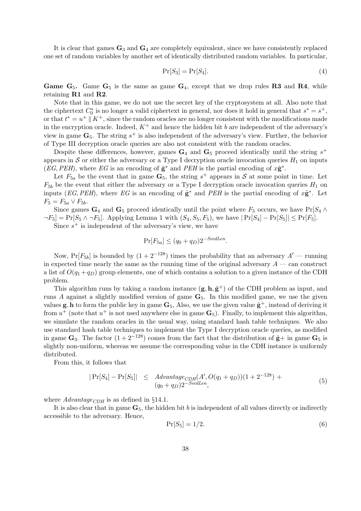It is clear that games  $\mathbf{G}_3$  and  $\mathbf{G}_4$  are completely equivalent, since we have consistently replaced one set of random variables by another set of identically distributed random variables. In particular,

$$
\Pr[S_3] = \Pr[S_4].\tag{4}
$$

Game  $G_5$ . Game  $G_5$  is the same as game  $G_4$ , except that we drop rules R3 and R4, while retaining R1 and R2.

Note that in this game, we do not use the secret key of the cryptosystem at all. Also note that the ciphertext  $C_0^*$ <sup>\*</sup><sub>0</sub> is no longer a valid ciphertext in general, nor does it hold in general that  $s^* = s^+$ , or that  $t^* = u^+ \parallel K^+$ , since the random oracles are no longer consistent with the modifications made in the encryption oracle. Indeed,  $K^+$  and hence the hidden bit b are independent of the adversary's view in game  $\mathbf{G}_5$ . The string  $s^+$  is also independent of the adversary's view. Further, the behavior of Type III decryption oracle queries are also not consistent with the random oracles.

Despite these differences, however, games  $G_4$  and  $G_5$  proceed identically until the string  $s^+$ appears in S or either the adversary or a Type I decryption oracle invocation queries  $H_1$  on inputs  $(EG,PEH)$ , where EG is an encoding of  $\tilde{\mathbf{g}}^*$  and PEH is the partial encoding of  $x\tilde{\mathbf{g}}^*$ .

Let  $F_{5a}$  be the event that in game  $\mathbf{G}_5$ , the string  $s^+$  appears in S at some point in time. Let  $F_{5b}$  be the event that either the adversary or a Type I decryption oracle invocation queries  $H_1$  on inputs (EG, PEH), where EG is an encoding of  $\tilde{\mathbf{g}}^*$  and PEH is the partial encoding of  $x\tilde{\mathbf{g}}^*$ . Let  $F_5 = F_{5a} \vee F_{5b}.$ 

Since games  $\mathbf{G}_4$  and  $\mathbf{G}_5$  proceed identically until the point where  $F_5$  occurs, we have  $\Pr[S_4 \wedge$  $\neg F_5$  = Pr[ $S_5 \wedge \neg F_5$ ]. Applying Lemma 1 with  $(S_4, S_5, F_5)$ , we have  $|\Pr[S_4] - \Pr[S_5]| \leq \Pr[F_5]$ .

Since  $s^+$  is independent of the adversary's view, we have

$$
\Pr[F_{5a}] \le (q_0 + q_D)2^{-SeedLen}.
$$

Now, Pr[ $F_{5b}$ ] is bounded by  $(1+2^{-128})$  times the probability that an adversary  $A'$  — running in expected time nearly the same as the running time of the original adversary  $A$  — can construct a list of  $O(q_1+q_1)$  group elements, one of which contains a solution to a given instance of the CDH problem.

This algorithm runs by taking a random instance  $(g, h, \tilde{g}^+)$  of the CDH problem as input, and runs A against a slightly modified version of game  $\mathbf{G}_5$ . In this modified game, we use the given values **g**, **h** to form the public key in game  $\mathbf{G}_5$ , Also, we use the given value  $\tilde{\mathbf{g}}^+$ , instead of deriving it from  $u^+$  (note that  $u^+$  is not used anywhere else in game  $\mathbf{G}_5$ ). Finally, to implement this algorithm, we simulate the random oracles in the usual way, using standard hash table techniques. We also use standard hash table techniques to implement the Type I decryption oracle queries, as modified in game  $\mathbf{G}_3$ . The factor  $(1+2^{-128})$  comes from the fact that the distribution of  $\tilde{\mathbf{g}}$ + in game  $\mathbf{G}_5$  is slightly non-uniform, whereas we assume the corresponding value in the CDH instance is uniformly distributed.

From this, it follows that

$$
|\Pr[S_4] - \Pr[S_5]| \leq \n\text{Advantage}_{CDH}(A', O(q_1 + q_D))(1 + 2^{-128}) + (q_0 + q_D)2^{-\text{SeedLen}},
$$
\n<sup>(5)</sup>

where  $Advantage_{CDH}$  is as defined in §14.1.

It is also clear that in game  $G_5$ , the hidden bit b is independent of all values directly or indirectly accessible to the adversary. Hence,

$$
\Pr[S_5] = 1/2. \tag{6}
$$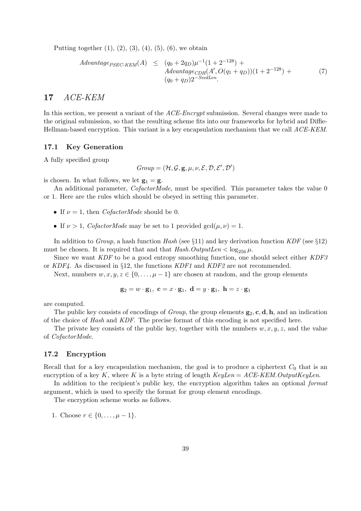Putting together  $(1), (2), (3), (4), (5), (6)$ , we obtain

$$
Advanced_{PSEC-KEM}(A) \leq (q_0 + 2q_D)\mu^{-1}(1 + 2^{-128}) +
$$
  
\n
$$
Advanced_{CDH}(A', O(q_1 + q_D))(1 + 2^{-128}) +
$$
  
\n
$$
(q_0 + q_D)2^{-SeedLen}.
$$
\n(7)

## 17 ACE-KEM

In this section, we present a variant of the *ACE-Encrypt* submission. Several changes were made to the original submission, so that the resulting scheme fits into our frameworks for hybrid and Diffie-Hellman-based encryption. This variant is a key encapsulation mechanism that we call ACE-KEM.

#### 17.1 Key Generation

A fully specified group

$$
Group=(\mathcal{H},\mathcal{G},\mathbf{g},\mu,\nu,\mathcal{E},\mathcal{D},\mathcal{E}',\mathcal{D}')
$$

is chosen. In what follows, we let  $\mathbf{g}_1 = \mathbf{g}$ .

An additional parameter, *CofactorMode*, must be specified. This parameter takes the value 0 or 1. Here are the rules which should be obeyed in setting this parameter.

- If  $\nu = 1$ , then *CofactorMode* should be 0.
- If  $\nu > 1$ , CofactorMode may be set to 1 provided  $gcd(\mu, \nu) = 1$ .

In addition to *Group*, a hash function Hash (see  $\S11$ ) and key derivation function KDF (see  $\S12$ ) must be chosen. It is required that and that  $Hash.OutputLen < log_{256} \mu$ .

Since we want KDF to be a good entropy smoothing function, one should select either KDF3 or KDF4. As discussed in §12, the functions KDF1 and KDF2 are not recommended.

Next, numbers  $w, x, y, z \in \{0, ..., \mu - 1\}$  are chosen at random, and the group elements

$$
\mathbf{g}_2 = w \cdot \mathbf{g}_1, \ \mathbf{c} = x \cdot \mathbf{g}_1, \ \mathbf{d} = y \cdot \mathbf{g}_1, \ \mathbf{h} = z \cdot \mathbf{g}_1
$$

are computed.

The public key consists of encodings of Group, the group elements  $g_2, c, d, h$ , and an indication of the choice of Hash and KDF. The precise format of this encoding is not specified here.

The private key consists of the public key, together with the numbers  $w, x, y, z$ , and the value of CofactorMode.

### 17.2 Encryption

Recall that for a key encapsulation mechanism, the goal is to produce a ciphertext  $C_0$  that is an encryption of a key K, where K is a byte string of length  $KeyLen = ACE-KEM.OutputKeyLen.$ 

In addition to the recipient's public key, the encryption algorithm takes an optional *format* argument, which is used to specify the format for group element encodings.

The encryption scheme works as follows.

1. Choose  $r \in \{0, \ldots, \mu - 1\}.$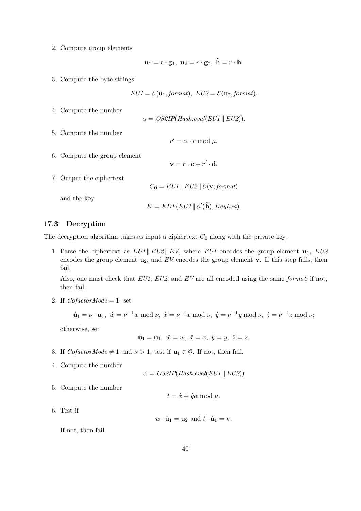2. Compute group elements

 $\mathbf{u}_1 = r \cdot \mathbf{g}_1, \ \mathbf{u}_2 = r \cdot \mathbf{g}_2, \ \tilde{\mathbf{h}} = r \cdot \mathbf{h}.$ 

3. Compute the byte strings

 $EUI = \mathcal{E}(\mathbf{u}_1, format), EU2 = \mathcal{E}(\mathbf{u}_2, format).$ 

4. Compute the number

$$
\alpha = OS2IP(Hash. eval(EU1 \parallel EU2)).
$$

5. Compute the number

 $r' = \alpha \cdot r \mod \mu$ .

 $\mathbf{v} = r \cdot \mathbf{c} + r' \cdot \mathbf{d}.$ 

6. Compute the group element

7. Output the ciphertext

 $C_0 = EU1 \parallel EU2 \parallel \mathcal{E}(\mathbf{v}, format)$ 

and the key

 $K = KDF(EU1 \parallel \mathcal{E}'(\tilde{\mathbf{h}}), KeyLen).$ 

#### 17.3 Decryption

The decryption algorithm takes as input a ciphertext  $C_0$  along with the private key.

1. Parse the ciphertext as  $EU1 \parallel EU2 \parallel EV$ , where  $EU1$  encodes the group element  $\mathbf{u}_1$ ,  $EU2$ encodes the group element  $\mathbf{u}_2$ , and EV encodes the group element **v**. If this step fails, then fail.

Also, one must check that EU1, EU2, and EV are all encoded using the same format; if not, then fail.

2. If  $CofactorMode = 1$ , set

$$
\hat{\mathbf{u}}_1 = \nu \cdot \mathbf{u}_1
$$
,  $\hat{w} = \nu^{-1} w \mod \nu$ ,  $\hat{x} = \nu^{-1} x \mod \nu$ ,  $\hat{y} = \nu^{-1} y \mod \nu$ ,  $\hat{z} = \nu^{-1} z \mod \nu$ ;

otherwise, set

$$
\hat{\mathbf{u}}_1 = \mathbf{u}_1, \ \hat{w} = w, \ \hat{x} = x, \ \hat{y} = y, \ \hat{z} = z.
$$

- 3. If  $\text{CofactorMode} \neq 1$  and  $\nu > 1$ , test if  $\mathbf{u}_1 \in \mathcal{G}$ . If not, then fail.
- 4. Compute the number

 $\alpha = OS2IP(Hash.eval(EU1 \mid EU2))$ 

5. Compute the number

 $t = \hat{x} + \hat{y}\alpha \mod \mu.$ 

6. Test if

$$
w \cdot \hat{\mathbf{u}}_1 = \mathbf{u}_2 \text{ and } t \cdot \hat{\mathbf{u}}_1 = \mathbf{v}.
$$

If not, then fail.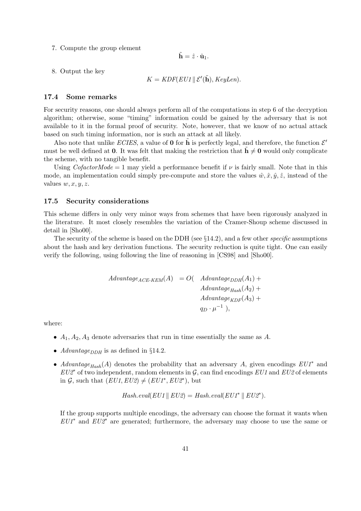7. Compute the group element

 $\tilde{\mathbf{h}} = \hat{z} \cdot \hat{\mathbf{u}}_1.$ 

8. Output the key

$$
K = KDF(EU1 \mid \mathcal{E}'(\tilde{\mathbf{h}}), KeyLen).
$$

#### 17.4 Some remarks

For security reasons, one should always perform all of the computations in step 6 of the decryption algorithm; otherwise, some "timing" information could be gained by the adversary that is not available to it in the formal proof of security. Note, however, that we know of no actual attack based on such timing information, nor is such an attack at all likely.

Also note that unlike ECIES, a value of **0** for  $\tilde{\mathbf{h}}$  is perfectly legal, and therefore, the function  $\mathcal{E}'$ must be well defined at 0. It was felt that making the restriction that  $\mathbf{h} \neq 0$  would only complicate the scheme, with no tangible benefit.

Using CofactorMode = 1 may yield a performance benefit if  $\nu$  is fairly small. Note that in this mode, an implementation could simply pre-compute and store the values  $\hat{w}, \hat{x}, \hat{y}, \hat{z}$ , instead of the values  $w, x, y, z$ .

#### 17.5 Security considerations

This scheme differs in only very minor ways from schemes that have been rigorously analyzed in the literature. It most closely resembles the variation of the Cramer-Shoup scheme discussed in detail in [Sho00].

The security of the scheme is based on the DDH (see  $\S14.2$ ), and a few other *specific* assumptions about the hash and key derivation functions. The security reduction is quite tight. One can easily verify the following, using following the line of reasoning in [CS98] and [Sho00].

| $Advantage_{ACE-KEM}(A) = O(Advantage_{DDH}(A_1) +$ |                           |
|-----------------------------------------------------|---------------------------|
|                                                     | $Advantage_{Hash}(A_2) +$ |
|                                                     | $Advantage_{KDF}(A_3) +$  |
|                                                     | $q_D \cdot \mu^{-1}$ ),   |

where:

- $A_1, A_2, A_3$  denote adversaries that run in time essentially the same as A.
- Advantage<sub>DDH</sub> is as defined in §14.2.
- Advantage<sub>Hash</sub>(A) denotes the probability that an adversary A, given encodings  $EU1^*$  and  $EU2^*$  of two independent, random elements in  $G$ , can find encodings  $EU1$  and  $EU2$  of elements in G, such that  $(EU1, EU2) \neq (EU1^*, EU2^*)$ , but

$$
Hash.eval(EU1 \parallel EU2) = Hash.eval(EU1^* \parallel EU2^*).
$$

If the group supports multiple encodings, the adversary can choose the format it wants when EU1<sup>∗</sup> and EU2<sup>∗</sup> are generated; furthermore, the adversary may choose to use the same or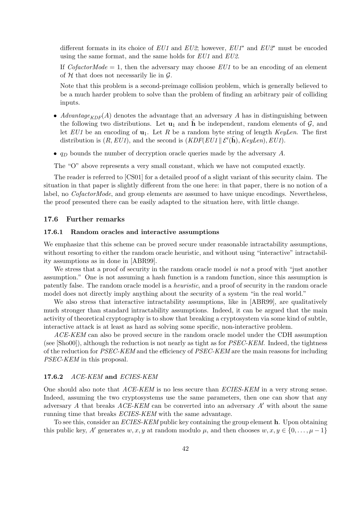different formats in its choice of  $EUI$  and  $EU2$ ; however,  $EUI^*$  and  $EU2^*$  must be encoded using the same format, and the same holds for EU1 and EU2.

If  $CofactorMode = 1$ , then the adversary may choose EU1 to be an encoding of an element of  $H$  that does not necessarily lie in  $G$ .

Note that this problem is a second-preimage collision problem, which is generally believed to be a much harder problem to solve than the problem of finding an arbitrary pair of colliding inputs.

- Advantage<sub>KDF</sub>(A) denotes the advantage that an adversary A has in distinguishing between the following two distributions. Let  $\mathbf{u}_1$  and  $\mathbf{h}$  be independent, random elements of  $\mathcal{G}$ , and let EU1 be an encoding of  $\mathbf{u}_1$ . Let R be a random byte string of length KeyLen. The first distribution is  $(R, EUI)$ , and the second is  $(KDF(EUI \parallel \mathcal{E}'(\tilde{\mathbf{h}}), KeyLen), EUI)$ .
- $q_D$  bounds the number of decryption oracle queries made by the adversary A.

The "O" above represents a very small constant, which we have not computed exactly.

The reader is referred to [CS01] for a detailed proof of a slight variant of this security claim. The situation in that paper is slightly different from the one here: in that paper, there is no notion of a label, no *CofactorMode*, and group elements are assumed to have unique encodings. Nevertheless, the proof presented there can be easily adapted to the situation here, with little change.

#### 17.6 Further remarks

#### 17.6.1 Random oracles and interactive assumptions

We emphasize that this scheme can be proved secure under reasonable intractability assumptions, without resorting to either the random oracle heuristic, and without using "interactive" intractability assumptions as in done in [ABR99].

We stress that a proof of security in the random oracle model is not a proof with "just another assumption." One is not assuming a hash function is a random function, since this assumption is patently false. The random oracle model is a heuristic, and a proof of security in the random oracle model does not directly imply anything about the security of a system "in the real world."

We also stress that interactive intractability assumptions, like in [ABR99], are qualitatively much stronger than standard intractability assumptions. Indeed, it can be argued that the main activity of theoretical cryptography is to show that breaking a cryptosystem via some kind of subtle, interactive attack is at least as hard as solving some specific, non-interactive problem.

ACE-KEM can also be proved secure in the random oracle model under the CDH assumption (see [Sho00]), although the reduction is not nearly as tight as for PSEC-KEM. Indeed, the tightness of the reduction for PSEC-KEM and the efficiency of PSEC-KEM are the main reasons for including PSEC-KEM in this proposal.

#### 17.6.2 ACE-KEM and ECIES-KEM

One should also note that ACE-KEM is no less secure than ECIES-KEM in a very strong sense. Indeed, assuming the two cryptosystems use the same parameters, then one can show that any adversary A that breaks  $ACE-KEM$  can be converted into an adversary  $A'$  with about the same running time that breaks ECIES-KEM with the same advantage.

To see this, consider an *ECIES-KEM* public key containing the group element **h**. Upon obtaining this public key, A' generates w, x, y at random modulo  $\mu$ , and then chooses  $w, x, y \in \{0, \ldots, \mu-1\}$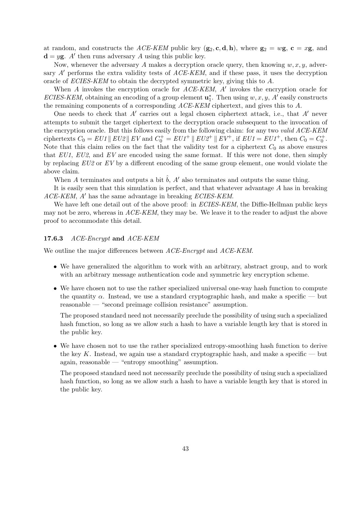at random, and constructs the ACE-KEM public key  $(g_2, c, d, h)$ , where  $g_2 = wg$ ,  $c = xg$ , and  $\mathbf{d} = y\mathbf{g}$ . A' then runs adversary A using this public key.

Now, whenever the adversary A makes a decryption oracle query, then knowing  $w, x, y$ , adversary  $A'$  performs the extra validity tests of  $ACE-KEM$ , and if these pass, it uses the decryption oracle of ECIES-KEM to obtain the decrypted symmetric key, giving this to A.

When  $A$  invokes the encryption oracle for  $ACE\text{-}KEM$ ,  $A'$  invokes the encryption oracle for ECIES-KEM, obtaining an encoding of a group element  $\mathbf{u}_1^*$  $i<sub>1</sub>$ . Then using  $w, x, y, A'$  easily constructs the remaining components of a corresponding ACE-KEM ciphertext, and gives this to A.

One needs to check that  $A'$  carries out a legal chosen ciphertext attack, i.e., that  $A'$  never attempts to submit the target ciphertext to the decryption oracle subsequent to the invocation of the encryption oracle. But this follows easily from the following claim: for any two valid ACE-KEM ciphertexts  $C_0 = EU1 \parallel EU2 \parallel EV$  and  $C_0^+ = EU1^+ \parallel EU2^+ \parallel EV^+$ , if  $EU1 = EU1^+$ , then  $C_0 = C_0^+$ . Note that this claim relies on the fact that the validity test for a ciphertext  $C_0$  as above ensures that EU1, EU2, and EV are encoded using the same format. If this were not done, then simply by replacing EU2 or EV by a different encoding of the same group element, one would violate the above claim.

When A terminates and outputs a bit  $\hat{b}$ , A' also terminates and outputs the same thing.

It is easily seen that this simulation is perfect, and that whatever advantage A has in breaking  $ACE-KEM$ ,  $A'$  has the same advantage in breaking ECIES-KEM.

We have left one detail out of the above proof: in ECIES-KEM, the Diffie-Hellman public keys may not be zero, whereas in  $ACE-KEM$ , they may be. We leave it to the reader to adjust the above proof to accommodate this detail.

#### 17.6.3 ACE-Encrypt and ACE-KEM

We outline the major differences between ACE-Encrypt and ACE-KEM.

- We have generalized the algorithm to work with an arbitrary, abstract group, and to work with an arbitrary message authentication code and symmetric key encryption scheme.
- We have chosen not to use the rather specialized universal one-way hash function to compute the quantity  $\alpha$ . Instead, we use a standard cryptographic hash, and make a specific — but reasonable — "second preimage collision resistance" assumption.

The proposed standard need not necessarily preclude the possibility of using such a specialized hash function, so long as we allow such a hash to have a variable length key that is stored in the public key.

• We have chosen not to use the rather specialized entropy-smoothing hash function to derive the key K. Instead, we again use a standard cryptographic hash, and make a specific  $-$  but again, reasonable — "entropy smoothing" assumption.

The proposed standard need not necessarily preclude the possibility of using such a specialized hash function, so long as we allow such a hash to have a variable length key that is stored in the public key.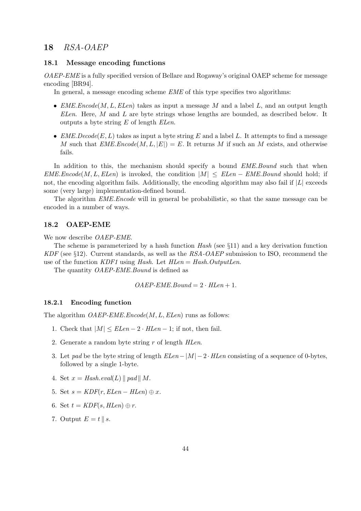## 18 RSA-OAEP

#### 18.1 Message encoding functions

OAEP-EME is a fully specified version of Bellare and Rogaway's original OAEP scheme for message encoding [BR94].

In general, a message encoding scheme EME of this type specifies two algorithms:

- $EME.Encode(M, L, ELen)$  takes as input a message M and a label L, and an output length ELen. Here,  $M$  and  $L$  are byte strings whose lengths are bounded, as described below. It outputs a byte string  $E$  of length  $ELen$ .
- $EME.Decode(E, L)$  takes as input a byte string E and a label L. It attempts to find a message M such that  $EME.Encode(M, L, |E|) = E$ . It returns M if such an M exists, and otherwise fails.

In addition to this, the mechanism should specify a bound *EME.Bound* such that when  $EME.Encode(M, L, ELen)$  is invoked, the condition  $|M| \leq ELen - EME. Bound$  should hold; if not, the encoding algorithm fails. Additionally, the encoding algorithm may also fail if  $|L|$  exceeds some (very large) implementation-defined bound.

The algorithm EME.Encode will in general be probabilistic, so that the same message can be encoded in a number of ways.

#### 18.2 OAEP-EME

We now describe *OAEP-EME*.

The scheme is parameterized by a hash function  $Hash$  (see  $\S11$ ) and a key derivation function KDF (see  $\S12$ ). Current standards, as well as the RSA-OAEP submission to ISO, recommend the use of the function KDF1 using Hash. Let  $HLen = Hash. OutputLen$ .

The quantity *OAEP-EME.Bound* is defined as

$$
OAEP\text{-}EME. Bound = 2 \cdot HLen + 1.
$$

#### 18.2.1 Encoding function

The algorithm  $OAEP-EME.Encode(M, L, ELen)$  runs as follows:

- 1. Check that  $|M| \leq ELen 2 \cdot HLen 1$ ; if not, then fail.
- 2. Generate a random byte string  $r$  of length  $HLen$ .
- 3. Let pad be the byte string of length  $ELen |M| 2 \cdot HLen$  consisting of a sequence of 0-bytes, followed by a single 1-byte.
- 4. Set  $x = Hash.eval(L) \parallel pad \parallel M$ .
- 5. Set  $s = KDF(r, ELen HLen) \oplus x$ .
- 6. Set  $t = KDF(s, HLen) \oplus r$ .
- 7. Output  $E = t \parallel s$ .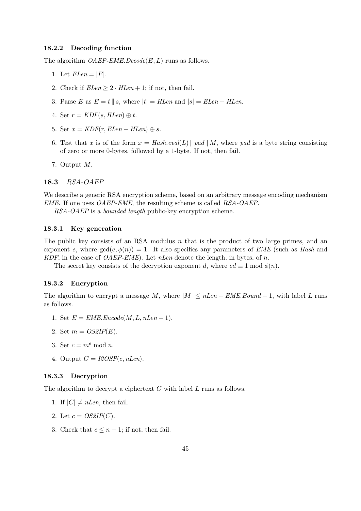#### 18.2.2 Decoding function

The algorithm  $OAEP-EME.Decode(E, L)$  runs as follows.

- 1. Let  $ELen=|E|.$
- 2. Check if  $ELen \geq 2 \cdot HLen + 1$ ; if not, then fail.
- 3. Parse E as  $E = t \parallel s$ , where  $|t| = H$ Len and  $|s| = E$ Len HLen.
- 4. Set  $r = KDF(s, HLen) \oplus t$ .
- 5. Set  $x = KDF(r, ELen HLen) \oplus s$ .
- 6. Test that x is of the form  $x = Hash\text{.eval}(L) \parallel pad \parallel M$ , where pad is a byte string consisting of zero or more 0-bytes, followed by a 1-byte. If not, then fail.
- 7. Output M.

#### 18.3 RSA-OAEP

We describe a generic RSA encryption scheme, based on an arbitrary message encoding mechanism EME. If one uses OAEP-EME, the resulting scheme is called RSA-OAEP.

RSA-OAEP is a bounded length public-key encryption scheme.

#### 18.3.1 Key generation

The public key consists of an RSA modulus  $n$  that is the product of two large primes, and an exponent e, where  $gcd(e, \phi(n)) = 1$ . It also specifies any parameters of EME (such as Hash and KDF, in the case of  $OAEP-EME$ ). Let nLen denote the length, in bytes, of n.

The secret key consists of the decryption exponent d, where  $ed \equiv 1 \mod \phi(n)$ .

#### 18.3.2 Encryption

The algorithm to encrypt a message M, where  $|M| \leq nLen - EME.Bound - 1$ , with label L runs as follows.

- 1. Set  $E = EME. Encode(M, L, nLen 1)$ .
- 2. Set  $m = OS2IP(E)$ .
- 3. Set  $c = m^e \mod n$ .
- 4. Output  $C = I2OSP(c, nLen)$ .

#### 18.3.3 Decryption

The algorithm to decrypt a ciphertext C with label L runs as follows.

- 1. If  $|C| \neq nLen$ , then fail.
- 2. Let  $c = OS2IP(C)$ .
- 3. Check that  $c \leq n-1$ ; if not, then fail.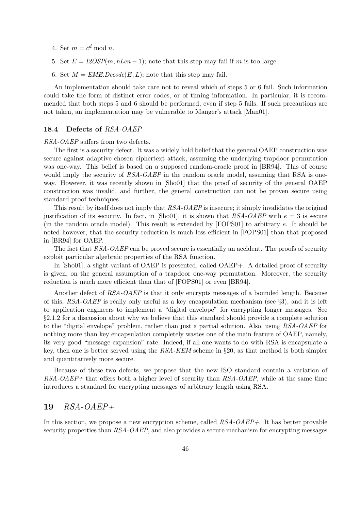- 4. Set  $m = c^d \mod n$ .
- 5. Set  $E = I2OSP(m, nLen 1)$ ; note that this step may fail if m is too large.
- 6. Set  $M = EME. Decode(E, L)$ ; note that this step may fail.

An implementation should take care not to reveal which of steps 5 or 6 fail. Such information could take the form of distinct error codes, or of timing information. In particular, it is recommended that both steps 5 and 6 should be performed, even if step 5 fails. If such precautions are not taken, an implementation may be vulnerable to Manger's attack [Man01].

#### 18.4 Defects of RSA-OAEP

RSA-OAEP suffers from two defects.

The first is a security defect. It was a widely held belief that the general OAEP construction was secure against adaptive chosen ciphertext attack, assuming the underlying trapdoor permutation was one-way. This belief is based on a supposed random-oracle proof in [BR94]. This of course would imply the security of RSA-OAEP in the random oracle model, assuming that RSA is oneway. However, it was recently shown in [Sho01] that the proof of security of the general OAEP construction was invalid, and further, the general construction can not be proven secure using standard proof techniques.

This result by itself does not imply that RSA-OAEP is insecure; it simply invalidates the original justification of its security. In fact, in [Sho01], it is shown that  $RSA-OAEP$  with  $e=3$  is secure (in the random oracle model). This result is extended by [FOPS01] to arbitrary e. It should be noted however, that the security reduction is much less efficient in [FOPS01] than that proposed in [BR94] for OAEP.

The fact that RSA-OAEP can be proved secure is essentially an accident. The proofs of security exploit particular algebraic properties of the RSA function.

In [Sho01], a slight variant of OAEP is presented, called OAEP+. A detailed proof of security is given, on the general assumption of a trapdoor one-way permutation. Moreover, the security reduction is much more efficient than that of [FOPS01] or even [BR94].

Another defect of RSA-OAEP is that it only encrypts messages of a bounded length. Because of this,  $RSA-OAEP$  is really only useful as a key encapsulation mechanism (see §3), and it is left to application engineers to implement a "digital envelope" for encrypting longer messages. See §2.1.2 for a discussion about why we believe that this standard should provide a complete solution to the "digital envelope" problem, rather than just a partial solution. Also, using RSA-OAEP for nothing more than key encapsulation completely wastes one of the main feature of OAEP, namely, its very good "message expansion" rate. Indeed, if all one wants to do with RSA is encapsulate a key, then one is better served using the  $RSA$ -KEM scheme in §20, as that method is both simpler and quantitatively more secure.

Because of these two defects, we propose that the new ISO standard contain a variation of  $RSA-OAEP+\text{ that offers both a higher level of security than } RSA-OAEP, \text{ while at the same time }$ introduces a standard for encrypting messages of arbitrary length using RSA.

## $19$  RSA-OAEP+

In this section, we propose a new encryption scheme, called  $RSA-OAEP+\$ . It has better provable security properties than  $RSA-OAEP$ , and also provides a secure mechanism for encrypting messages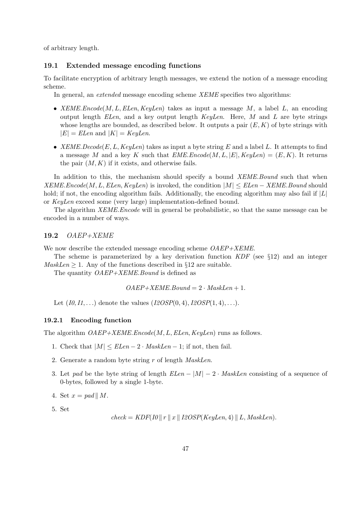of arbitrary length.

#### 19.1 Extended message encoding functions

To facilitate encryption of arbitrary length messages, we extend the notion of a message encoding scheme.

In general, an extended message encoding scheme XEME specifies two algorithms:

- XEME.  $Encode(M, L, ELen, KeyLen)$  takes as input a message M, a label L, an encoding output length  $ELen$ , and a key output length  $KeyLen$ . Here, M and L are byte strings whose lengths are bounded, as described below. It outputs a pair  $(E, K)$  of byte strings with  $|E| = ELen$  and  $|K| = KeyLen$ .
- XEME.  $Decode(E, L, KeyLen)$  takes as input a byte string E and a label L. It attempts to find a message M and a key K such that  $EME.Encode(M, L, |E|, KeyLen) = (E, K)$ . It returns the pair  $(M, K)$  if it exists, and otherwise fails.

In addition to this, the mechanism should specify a bound *XEME.Bound* such that when  $XEME.Encode(M, L, ELen, KeyLen)$  is invoked, the condition  $|M| \leq ELen - XEME. Bound$  should hold; if not, the encoding algorithm fails. Additionally, the encoding algorithm may also fail if  $|L|$ or KeyLen exceed some (very large) implementation-defined bound.

The algorithm *XEME.Encode* will in general be probabilistic, so that the same message can be encoded in a number of ways.

### 19.2 OAEP+XEME

We now describe the extended message encoding scheme  $OAEP+XEME$ .

The scheme is parameterized by a key derivation function  $KDF$  (see §12) and an integer  $MaskLen \geq 1$ . Any of the functions described in §12 are suitable.

The quantity  $OAEP+XEME.Bound$  is defined as

 $OAEP+XEME.Bound = 2 \cdot MaskLen + 1.$ 

Let  $(I0, I1, ...)$  denote the values  $(I2OSP(0, 4), I2OSP(1, 4), ...)$ .

#### 19.2.1 Encoding function

The algorithm  $OAEP+XEME.Encode(M, L, ELen, KeyLen)$  runs as follows.

- 1. Check that  $|M| \leq ELen 2 \cdot MaskLen 1$ ; if not, then fail.
- 2. Generate a random byte string  $r$  of length *MaskLen*.
- 3. Let pad be the byte string of length  $ELen |M| 2 \cdot MaskLen$  consisting of a sequence of 0-bytes, followed by a single 1-byte.

4. Set  $x = pad \parallel M$ .

5. Set

 $check = KDF(I0 \parallel r \parallel x \parallel I2OSP(KeyLen, 4) \parallel L, MaskLen).$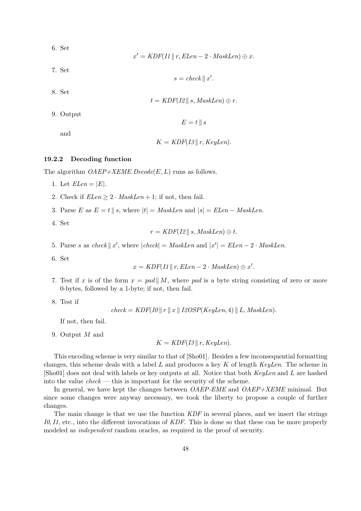6. Set

\n- $$
x' = KDF(II \parallel r, ELen - 2 \cdot MaskLen) \oplus x.
$$
\n- 7. Set\n
	\n- $s = check \parallel x'.$
	\n\n
\n- 8. Set\n
	\n- $t = KDF(I2 \parallel s, MaskLen) \oplus r.$
	\n\n
\n- 9. Output
\n

and

$$
K = KDF(I3 \| r, KeyLen).
$$

 $E = t \parallel s$ 

## 19.2.2 Decoding function

The algorithm  $OAEP+XEME.Decode(E, L)$  runs as follows.

- 1. Let  $ELen=|E|$ .
- 2. Check if  $ELen > 2 \cdot MaskLen + 1$ ; if not, then fail.
- 3. Parse E as  $E = t \parallel s$ , where  $|t| = MaskLen$  and  $|s| = ELen MaskLen$ .
- 4. Set

$$
r = KDF(I2 \parallel s, MaskLen) \oplus t
$$

5. Parse s as check  $||x'$ , where  $|check| = MaskLen$  and  $|x'| = ELen - 2 \cdot MaskLen$ .

6. Set

$$
x = KDF(II \parallel r, ELen - 2 \cdot MaskLen) \oplus x'.
$$

- 7. Test if x is of the form  $x = pad \parallel M$ , where pad is a byte string consisting of zero or more 0-bytes, followed by a 1-byte; if not, then fail.
- 8. Test if

$$
check = KDF(ID || r || x || I2OSP(KeyLen, 4) || L, MaskLen)
$$

If not, then fail.

9. Output M and

 $K = KDF(13 || r, KeyLen).$ 

This encoding scheme is very similar to that of [Sho01]. Besides a few inconsequential formatting changes, this scheme deals with a label  $L$  and produces a key  $K$  of length  $KeyLen$ . The scheme in [Sho01] does not deal with labels or key outputs at all. Notice that both KeyLen and L are hashed into the value  $check$  — this is important for the security of the scheme.

In general, we have kept the changes between  $OAEP$ -EME and  $OAEP + XEME$  minimal. But since some changes were anyway necessary, we took the liberty to propose a couple of further changes.

The main change is that we use the function KDF in several places, and we insert the strings I0,I1, etc., into the different invocations of KDF. This is done so that these can be more properly modeled as independent random oracles, as required in the proof of security.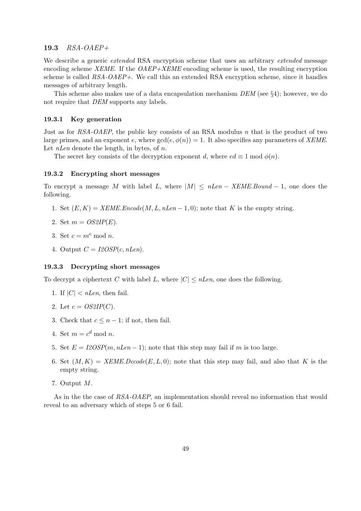#### 19.3 RSA-OAEP+

We describe a generic *extended* RSA encryption scheme that uses an arbitrary *extended* message encoding scheme XEME. If the  $OAEP+XEME$  encoding scheme is used, the resulting encryption scheme is called  $RSA-OAEP+$ . We call this an extended RSA encryption scheme, since it handles messages of arbitrary length.

This scheme also makes use of a data encapsulation mechanism DEM (see §4); however, we do not require that DEM supports any labels.

#### 19.3.1 Key generation

Just as for RSA-OAEP, the public key consists of an RSA modulus n that is the product of two large primes, and an exponent e, where  $gcd(e, \phi(n)) = 1$ . It also specifies any parameters of *XEME*. Let  $nLen$  denote the length, in bytes, of  $n$ .

The secret key consists of the decryption exponent d, where  $ed \equiv 1 \mod \phi(n)$ .

#### 19.3.2 Encrypting short messages

To encrypt a message M with label L, where  $|M| \leq nLen - XEME.Bound - 1$ , one does the following.

- 1. Set  $(E, K) = XEME.Encode(M, L, nLen-1, 0);$  note that K is the empty string.
- 2. Set  $m = OS2IP(E)$ .
- 3. Set  $c = m^e \mod n$ .
- 4. Output  $C = I2OSP(c, nLen)$ .

#### 19.3.3 Decrypting short messages

To decrypt a ciphertext C with label L, where  $|C| \leq nLen$ , one does the following.

- 1. If  $|C| < nLen$ , then fail.
- 2. Let  $c = OS2IP(C)$ .
- 3. Check that  $c \leq n-1$ ; if not, then fail.
- 4. Set  $m = c^d \mod n$ .
- 5. Set  $E = I2OSP(m, nLen 1)$ ; note that this step may fail if m is too large.
- 6. Set  $(M, K) = XEME.Decode(E, L, 0);$  note that this step may fail, and also that K is the empty string.
- 7. Output M.

As in the the case of RSA-OAEP, an implementation should reveal no information that would reveal to an adversary which of steps 5 or 6 fail.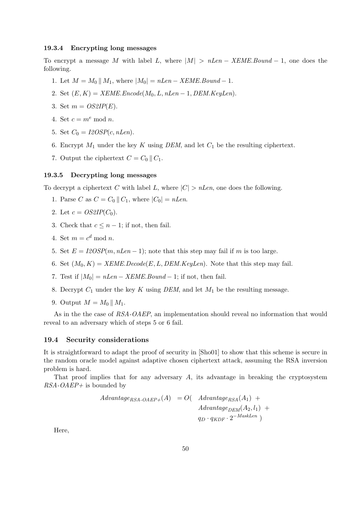#### 19.3.4 Encrypting long messages

To encrypt a message M with label L, where  $|M| > nLen - XEME.Bound - 1$ , one does the following.

- 1. Let  $M = M_0 || M_1$ , where  $|M_0| = nLen XEME.Bound 1$ .
- 2. Set  $(E, K) = XEME.$  Encode $(M_0, L, nLen 1, DEM.$ KeyLen).
- 3. Set  $m = OS2IP(E)$ .
- 4. Set  $c = m^e \mod n$ .
- 5. Set  $C_0 = I2OSP(c, nLen)$ .
- 6. Encrypt  $M_1$  under the key K using DEM, and let  $C_1$  be the resulting ciphertext.
- 7. Output the ciphertext  $C = C_0 || C_1$ .

#### 19.3.5 Decrypting long messages

To decrypt a ciphertext C with label L, where  $|C| > nLen$ , one does the following.

- 1. Parse C as  $C = C_0 || C_1$ , where  $|C_0| = nLen$ .
- 2. Let  $c = OS2IP(C_0)$ .
- 3. Check that  $c \leq n-1$ ; if not, then fail.
- 4. Set  $m = c^d \mod n$ .
- 5. Set  $E = I2OSP(m, nLen 1)$ ; note that this step may fail if m is too large.
- 6. Set  $(M_0, K) = XEME. Decode(E, L, DEM. KeyLen)$ . Note that this step may fail.
- 7. Test if  $|M_0| = nLen XEME.Bound 1$ ; if not, then fail.
- 8. Decrypt  $C_1$  under the key K using DEM, and let  $M_1$  be the resulting message.
- 9. Output  $M = M_0 || M_1$ .

As in the the case of RSA-OAEP, an implementation should reveal no information that would reveal to an adversary which of steps 5 or 6 fail.

#### 19.4 Security considerations

It is straightforward to adapt the proof of security in [Sho01] to show that this scheme is secure in the random oracle model against adaptive chosen ciphertext attack, assuming the RSA inversion problem is hard.

That proof implies that for any adversary  $A$ , its advantage in breaking the cryptosystem  $RSA-OAEP+$  is bounded by

$$
Advantage_{RSA-OAEP+}(A) = O( Advantage_{RSA}(A1) +
$$
  
\n
$$
Advantage_{DEM}(A2, l1) +
$$
  
\n
$$
qD \cdot qKDF \cdot 2-MaskLen
$$

Here,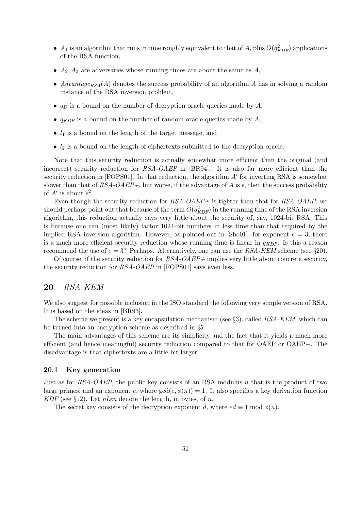- $A_1$  is an algorithm that runs in time roughly equivalent to that of A, plus  $O(q_{KDF}^2)$  applications of the RSA function,
- $A_2$ ,  $A_3$  are adversaries whose running times are about the same as  $A$ ,
- Advantage<sub>RSA</sub>(A) denotes the success probability of an algorithm A has in solving a random instance of the RSA inversion problem,
- $q_D$  is a bound on the number of decryption oracle queries made by A,
- $q_{KDF}$  is a bound on the number of random oracle queries made by  $A$ ,
- $\bullet$   $l_1$  is a bound on the length of the target message, and
- $\bullet$   $l_2$  is a bound on the length of ciphertexts submitted to the decryption oracle.

Note that this security reduction is actually somewhat more efficient than the original (and incorrect) security reduction for RSA-OAEP in [BR94]. It is also far more efficient than the security reduction in [FOPS01]. In that reduction, the algorithm  $A'$  for inverting RSA is somewhat slower than that of RSA-OAEP+, but worse, if the advantage of A is  $\epsilon$ , then the success probability of  $A'$  is about  $\epsilon^2$ .

Even though the security reduction for  $RSA-OAEP+\text{is tighter}$  than that for  $RSA-OAEP$ , we should perhaps point out that because of the term  $O(q_{KDF}^2)$  in the running time of the RSA inversion algorithm, this reduction actually says very little about the security of, say, 1024-bit RSA. This is because one can (most likely) factor 1024-bit numbers in less time than that required by the implied RSA inversion algorithm. However, as pointed out in [Sho01], for exponent  $e = 3$ , there is a much more efficient security reduction whose running time is linear in  $q_{KDF}$ . Is this a reason recommend the use of  $e = 3$ ? Perhaps. Alternatively, one can use the RSA-KEM scheme (see §20).

Of course, if the security reduction for  $RSA-OAEP+\text{implies}$  very little about concrete security, the security reduction for RSA-OAEP in [FOPS01] says even less.

## 20 RSA-KEM

We also suggest for possible inclusion in the ISO standard the following very simple version of RSA. It is based on the ideas in [BR93].

The scheme we present is a key encapsulation mechanism (see  $\S 3$ ), called  $RSA$ -KEM, which can be turned into an encryption scheme as described in §5.

The main advantages of this scheme are its simplicity and the fact that it yields a much more efficient (and hence meaningful) security reduction compared to that for OAEP or OAEP+. The disadvantage is that ciphertexts are a little bit larger.

#### 20.1 Key generation

Just as for RSA-OAEP, the public key consists of an RSA modulus n that is the product of two large primes, and an exponent e, where  $gcd(e, \phi(n)) = 1$ . It also specifies a key derivation function KDF (see  $\S 12$ ). Let *nLen* denote the length, in bytes, of *n*.

The secret key consists of the decryption exponent d, where  $ed \equiv 1 \mod \phi(n)$ .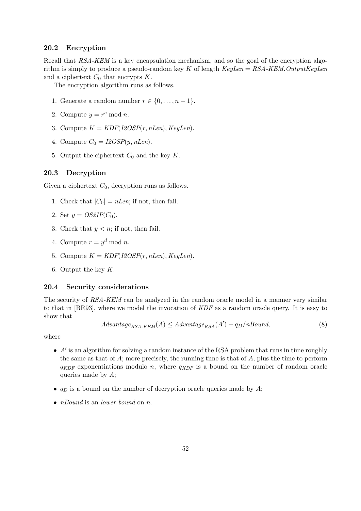#### 20.2 Encryption

Recall that RSA-KEM is a key encapsulation mechanism, and so the goal of the encryption algorithm is simply to produce a pseudo-random key K of length  $KeyLen = RSA$ -KEM. OutputKeyLen and a ciphertext  $C_0$  that encrypts  $K$ .

The encryption algorithm runs as follows.

- 1. Generate a random number  $r \in \{0, \ldots, n-1\}$ .
- 2. Compute  $y = r^e \mod n$ .
- 3. Compute  $K = KDF(12OSP(r, nLen), KeyLen).$
- 4. Compute  $C_0 = I2OSP(y, nLen)$ .
- 5. Output the ciphertext  $C_0$  and the key  $K$ .

#### 20.3 Decryption

Given a ciphertext  $C_0$ , decryption runs as follows.

- 1. Check that  $|C_0| = nLen$ ; if not, then fail.
- 2. Set  $y = OS2IP(C_0)$ .
- 3. Check that  $y < n$ ; if not, then fail.
- 4. Compute  $r = y^d \mod n$ .
- 5. Compute  $K = KDF(I2OSP(r, nLen), KeyLen).$
- 6. Output the key K.

#### 20.4 Security considerations

The security of RSA-KEM can be analyzed in the random oracle model in a manner very similar to that in [BR93], where we model the invocation of KDF as a random oracle query. It is easy to show that

$$
Advantage_{RSA\text{-}KEM}(A) \leq Advantage_{RSA}(A') + q_D/nBound,
$$
\n
$$
(8)
$$

where

- $\bullet$   $A'$  is an algorithm for solving a random instance of the RSA problem that runs in time roughly the same as that of  $A$ ; more precisely, the running time is that of  $A$ , plus the time to perform  $q_{KDF}$  exponentiations modulo n, where  $q_{KDF}$  is a bound on the number of random oracle queries made by A;
- $q_D$  is a bound on the number of decryption oracle queries made by A;
- *nBound* is an *lower bound* on *n*.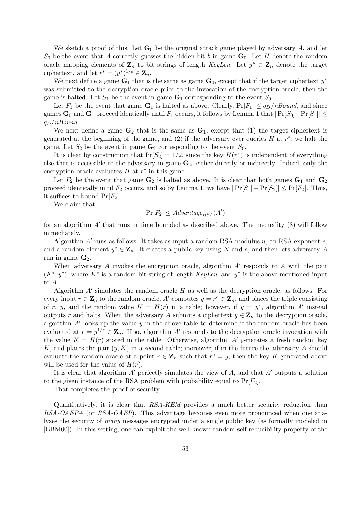We sketch a proof of this. Let  $\mathbf{G}_0$  be the original attack game played by adversary A, and let  $S_0$  be the event that A correctly guesses the hidden bit b in game  $G_0$ . Let H denote the random oracle mapping elements of  $\mathbf{Z}_n$  to bit strings of length  $KeyLen$ . Let  $y^* \in \mathbf{Z}_n$  denote the target ciphertext, and let  $r^* = (y^*)^{1/e} \in \mathbf{Z}_n$ .

We next define a game  $\mathbf{G}_1$  that is the same as game  $\mathbf{G}_0$ , except that if the target ciphertext  $y^*$ was submitted to the decryption oracle prior to the invocation of the encryption oracle, then the game is halted. Let  $S_1$  be the event in game  $G_1$  corresponding to the event  $S_0$ .

Let  $F_1$  be the event that game  $G_1$  is halted as above. Clearly,  $Pr[F_1] \le q_D/nBound$ , and since games  $\mathbf{G}_0$  and  $\mathbf{G}_1$  proceed identically until  $F_1$  occurs, it follows by Lemma 1 that  $|\Pr[S_0]-\Pr[S_1]| \leq$  $q_D/nBound$ .

We next define a game  $\mathbf{G}_2$  that is the same as  $\mathbf{G}_1$ , except that (1) the target ciphertext is generated at the beginning of the game, and (2) if the adversary ever queries H at  $r^*$ , we halt the game. Let  $S_2$  be the event in game  $\mathbf{G}_2$  corresponding to the event  $S_0$ .

It is clear by construction that  $Pr[S_2] = 1/2$ , since the key  $H(r^*)$  is independent of everything else that is accessible to the adversary in game  $\mathbf{G}_2$ , either directly or indirectly. Indeed, only the encryption oracle evaluates  $H$  at  $r^*$  in this game.

Let  $F_2$  be the event that game  $G_2$  is halted as above. It is clear that both games  $G_1$  and  $G_2$ proceed identically until  $F_2$  occurs, and so by Lemma 1, we have  $|\Pr[S_1] - \Pr[S_2]| \leq \Pr[F_2]$ . Thus, it suffices to bound  $Pr[F_2]$ .

We claim that

$$
\Pr[F_2] \leq \text{Advanced}_{RSA}(A')
$$

for an algorithm  $A'$  that runs in time bounded as described above. The inequality  $(8)$  will follow immediately.

Algorithm  $A'$  runs as follows. It takes as input a random RSA modulus n, an RSA exponent  $e$ , and a random element  $y^* \in \mathbb{Z}_n$ . It creates a public key using N and e, and then lets adversary A run in game  $G_2$ .

When adversary  $A$  invokes the encryption oracle, algorithm  $A'$  responds to  $A$  with the pair  $(K^*, y^*)$ , where  $K^*$  is a random bit string of length  $KeyLen$ , and  $y^*$  is the above-mentioned input to A.

Algorithm  $A'$  simulates the random oracle  $H$  as well as the decryption oracle, as follows. For every input  $r \in \mathbf{Z}_n$  to the random oracle, A' computes  $y = r^e \in \mathbf{Z}_n$ , and places the triple consisting of r, y, and the random value  $K = H(r)$  in a table; however, if  $y = y^*$ , algorithm A' instead outputs r and halts. When the adversary A submits a ciphertext  $y \in \mathbb{Z}_n$  to the decryption oracle, algorithm  $A'$  looks up the value  $y$  in the above table to determine if the random oracle has been evaluated at  $r = y^{1/e} \in \mathbb{Z}_n$ . If so, algorithm A' responds to the decryption oracle invocation with the value  $K = H(r)$  stored in the table. Otherwise, algorithm A' generates a fresh random key K, and places the pair  $(y, K)$  in a second table; moreover, if in the future the adversary A should evaluate the random oracle at a point  $r \in \mathbb{Z}_n$  such that  $r^e = y$ , then the key K generated above will be used for the value of  $H(r)$ .

It is clear that algorithm  $A'$  perfectly simulates the view of  $A$ , and that  $A'$  outputs a solution to the given instance of the RSA problem with probability equal to  $Pr[F_2]$ .

That completes the proof of security.

Quantitatively, it is clear that RSA-KEM provides a much better security reduction than RSA-OAEP+ (or RSA-OAEP). This advantage becomes even more pronounced when one analyzes the security of many messages encrypted under a single public key (as formally modeled in [BBM00]). In this setting, one can exploit the well-known random self-reducibility property of the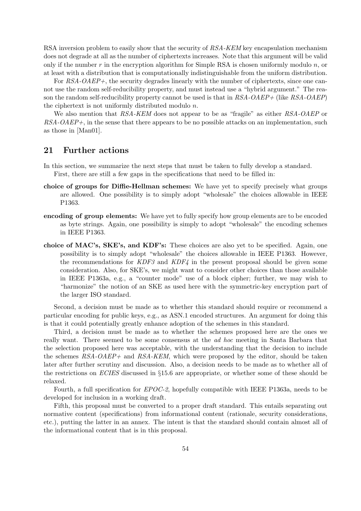RSA inversion problem to easily show that the security of RSA-KEM key encapsulation mechanism does not degrade at all as the number of ciphertexts increases. Note that this argument will be valid only if the number r in the encryption algorithm for Simple RSA is chosen uniformly modulo  $n$ , or at least with a distribution that is computationally indistinguishable from the uniform distribution.

For RSA-OAEP+, the security degrades linearly with the number of ciphertexts, since one cannot use the random self-reducibility property, and must instead use a "hybrid argument." The reason the random self-reducibility property cannot be used is that in  $RSA-OAEP+$  (like  $RSA-OAEP$ ) the ciphertext is not uniformly distributed modulo n.

We also mention that RSA-KEM does not appear to be as "fragile" as either RSA-OAEP or  $RSA-OAEP+$ , in the sense that there appears to be no possible attacks on an implementation, such as those in [Man01].

## 21 Further actions

- In this section, we summarize the next steps that must be taken to fully develop a standard. First, there are still a few gaps in the specifications that need to be filled in:
- choice of groups for Diffie-Hellman schemes: We have yet to specify precisely what groups are allowed. One possibility is to simply adopt "wholesale" the choices allowable in IEEE P1363.
- encoding of group elements: We have yet to fully specify how group elements are to be encoded as byte strings. Again, one possibility is simply to adopt "wholesale" the encoding schemes in IEEE P1363.
- choice of MAC's, SKE's, and KDF's: These choices are also yet to be specified. Again, one possibility is to simply adopt "wholesale" the choices allowable in IEEE P1363. However, the recommendations for KDF3 and KDF4 in the present proposal should be given some consideration. Also, for SKE's, we might want to consider other choices than those available in IEEE P1363a, e.g., a "counter mode" use of a block cipher; further, we may wish to "harmonize" the notion of an SKE as used here with the symmetric-key encryption part of the larger ISO standard.

Second, a decision must be made as to whether this standard should require or recommend a particular encoding for public keys, e.g., as ASN.1 encoded structures. An argument for doing this is that it could potentially greatly enhance adoption of the schemes in this standard.

Third, a decision must be made as to whether the schemes proposed here are the ones we really want. There seemed to be some consensus at the ad hoc meeting in Santa Barbara that the selection proposed here was acceptable, with the understanding that the decision to include the schemes  $RSA-OAEP+$  and  $RSA-KEM$ , which were proposed by the editor, should be taken later after further scrutiny and discussion. Also, a decision needs to be made as to whether all of the restrictions on ECIES discussed in §15.6 are appropriate, or whether some of these should be relaxed.

Fourth, a full specification for EPOC-2, hopefully compatible with IEEE P1363a, needs to be developed for inclusion in a working draft.

Fifth, this proposal must be converted to a proper draft standard. This entails separating out normative content (specifications) from informational content (rationale, security considerations, etc.), putting the latter in an annex. The intent is that the standard should contain almost all of the informational content that is in this proposal.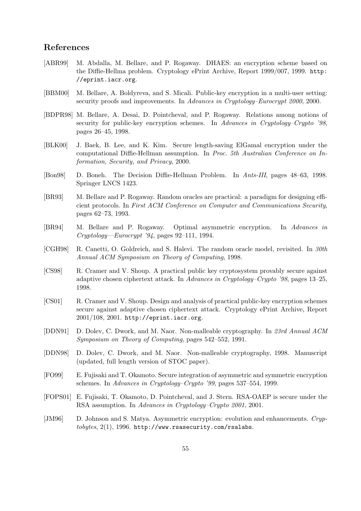## References

- [ABR99] M. Abdalla, M. Bellare, and P. Rogaway. DHAES: an encryption scheme based on the Diffie-Hellma problem. Cryptology ePrint Archive, Report 1999/007, 1999. http: //eprint.iacr.org.
- [BBM00] M. Bellare, A. Boldyreva, and S. Micali. Public-key encryption in a multi-user setting: security proofs and improvements. In Advances in Cryptology–Eurocrypt 2000, 2000.
- [BDPR98] M. Bellare, A. Desai, D. Pointcheval, and P. Rogaway. Relations among notions of security for public-key encryption schemes. In Advances in Cryptology–Crypto '98, pages 26–45, 1998.
- [BLK00] J. Baek, B. Lee, and K. Kim. Secure length-saving ElGamal encryption under the computational Diffie-Hellman assumption. In Proc. 5th Australian Conference on Information, Security, and Privacy, 2000.
- [Bon98] D. Boneh. The Decision Diffie-Hellman Problem. In Ants-III, pages 48–63, 1998. Springer LNCS 1423.
- [BR93] M. Bellare and P. Rogaway. Random oracles are practical: a paradigm for designing efficient protocols. In First ACM Conference on Computer and Communications Security, pages 62–73, 1993.
- [BR94] M. Bellare and P. Rogaway. Optimal asymmetric encryption. In Advances in Cryptology—Eurocrypt '94, pages 92–111, 1994.
- [CGH98] R. Canetti, O. Goldreich, and S. Halevi. The random oracle model, revisited. In 30th Annual ACM Symposium on Theory of Computing, 1998.
- [CS98] R. Cramer and V. Shoup. A practical public key cryptosystem provably secure against adaptive chosen ciphertext attack. In Advances in Cryptology–Crypto '98, pages 13–25, 1998.
- [CS01] R. Cramer and V. Shoup. Design and analysis of practical public-key encryption schemes secure against adaptive chosen ciphertext attack. Cryptology ePrint Archive, Report 2001/108, 2001. http://eprint.iacr.org.
- [DDN91] D. Dolev, C. Dwork, and M. Naor. Non-malleable cryptography. In 23rd Annual ACM Symposium on Theory of Computing, pages 542–552, 1991.
- [DDN98] D. Dolev, C. Dwork, and M. Naor. Non-malleable cryptography, 1998. Manuscript (updated, full length version of STOC paper).
- [FO99] E. Fujisaki and T. Okamoto. Secure integration of asymmetric and symmetric encryption schemes. In Advances in Cryptology–Crypto '99, pages 537–554, 1999.
- [FOPS01] E. Fujisaki, T. Okamoto, D. Pointcheval, and J. Stern. RSA-OAEP is secure under the RSA assumption. In Advances in Cryptology–Crypto 2001, 2001.
- [JM96] D. Johnson and S. Matya. Asymmetric encryption: evolution and enhancements. Cryp $tobytes$ ,  $2(1)$ , 1996. http://www.rsasecurity.com/rsalabs.